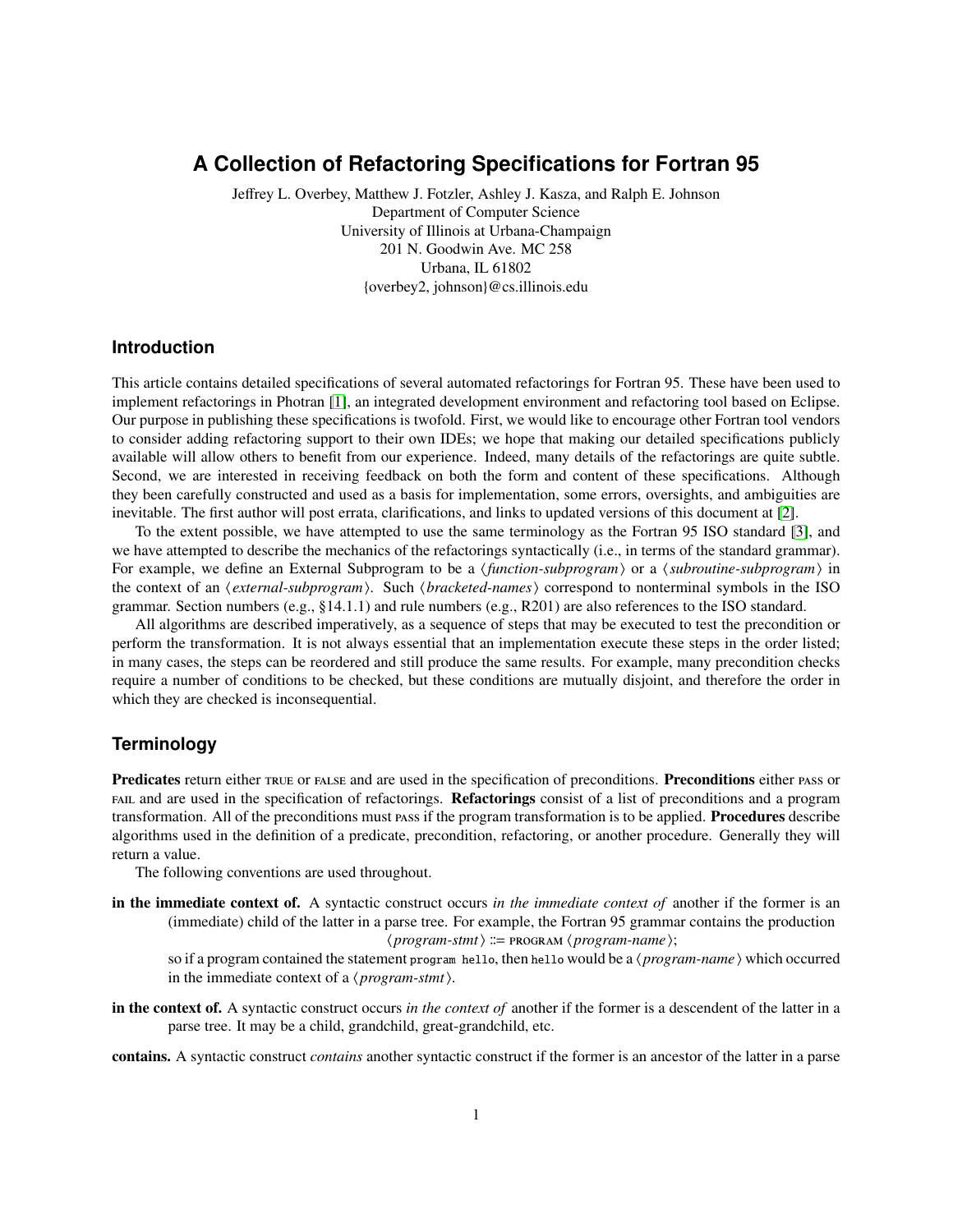# **A Collection of Refactoring Specifications for Fortran 95**

Jeffrey L. Overbey, Matthew J. Fotzler, Ashley J. Kasza, and Ralph E. Johnson Department of Computer Science University of Illinois at Urbana-Champaign 201 N. Goodwin Ave. MC 258 Urbana, IL 61802 {overbey2, johnson}@cs.illinois.edu

# **Introduction**

This article contains detailed specifications of several automated refactorings for Fortran 95. These have been used to implement refactorings in Photran [\[1\]](#page-1-0), an integrated development environment and refactoring tool based on Eclipse. Our purpose in publishing these specifications is twofold. First, we would like to encourage other Fortran tool vendors to consider adding refactoring support to their own IDEs; we hope that making our detailed specifications publicly available will allow others to benefit from our experience. Indeed, many details of the refactorings are quite subtle. Second, we are interested in receiving feedback on both the form and content of these specifications. Although they been carefully constructed and used as a basis for implementation, some errors, oversights, and ambiguities are inevitable. The first author will post errata, clarifications, and links to updated versions of this document at [\[2\]](#page-1-1).

To the extent possible, we have attempted to use the same terminology as the Fortran 95 ISO standard [\[3\]](#page-1-2), and we have attempted to describe the mechanics of the refactorings syntactically (i.e., in terms of the standard grammar). For example, we define an External Subprogram to be a *{function-subprogram}* or a *{subroutine-subprogram}* in the context of an *(external-subprogram)*. Such *(bracketed-names)* correspond to nonterminal symbols in the ISO grammar. Section numbers (e.g., §14.1.1) and rule numbers (e.g., R201) are also references to the ISO standard.

All algorithms are described imperatively, as a sequence of steps that may be executed to test the precondition or perform the transformation. It is not always essential that an implementation execute these steps in the order listed; in many cases, the steps can be reordered and still produce the same results. For example, many precondition checks require a number of conditions to be checked, but these conditions are mutually disjoint, and therefore the order in which they are checked is inconsequential.

# **Terminology**

Predicates return either TRUE OF FALSE and are used in the specification of preconditions. Preconditions either PASS or FAIL and are used in the specification of refactorings. Refactorings consist of a list of preconditions and a program transformation. All of the preconditions must pass if the program transformation is to be applied. **Procedures** describe algorithms used in the definition of a predicate, precondition, refactoring, or another procedure. Generally they will return a value.

The following conventions are used throughout.

in the immediate context of. A syntactic construct occurs *in the immediate context of* another if the former is an (immediate) child of the latter in a parse tree. For example, the Fortran 95 grammar contains the production  $\langle program\text{-}stmt\rangle ::= \text{PROGRAM} \langle program\text{-}name\rangle;$ 

so if a program contained the statement program hello, then hello would be a  $\langle program\text{-}name \rangle$  which occurred in the immediate context of a  $\langle program\text{-}stmt\rangle$ .

in the context of. A syntactic construct occurs *in the context of* another if the former is a descendent of the latter in a parse tree. It may be a child, grandchild, great-grandchild, etc.

contains. A syntactic construct *contains* another syntactic construct if the former is an ancestor of the latter in a parse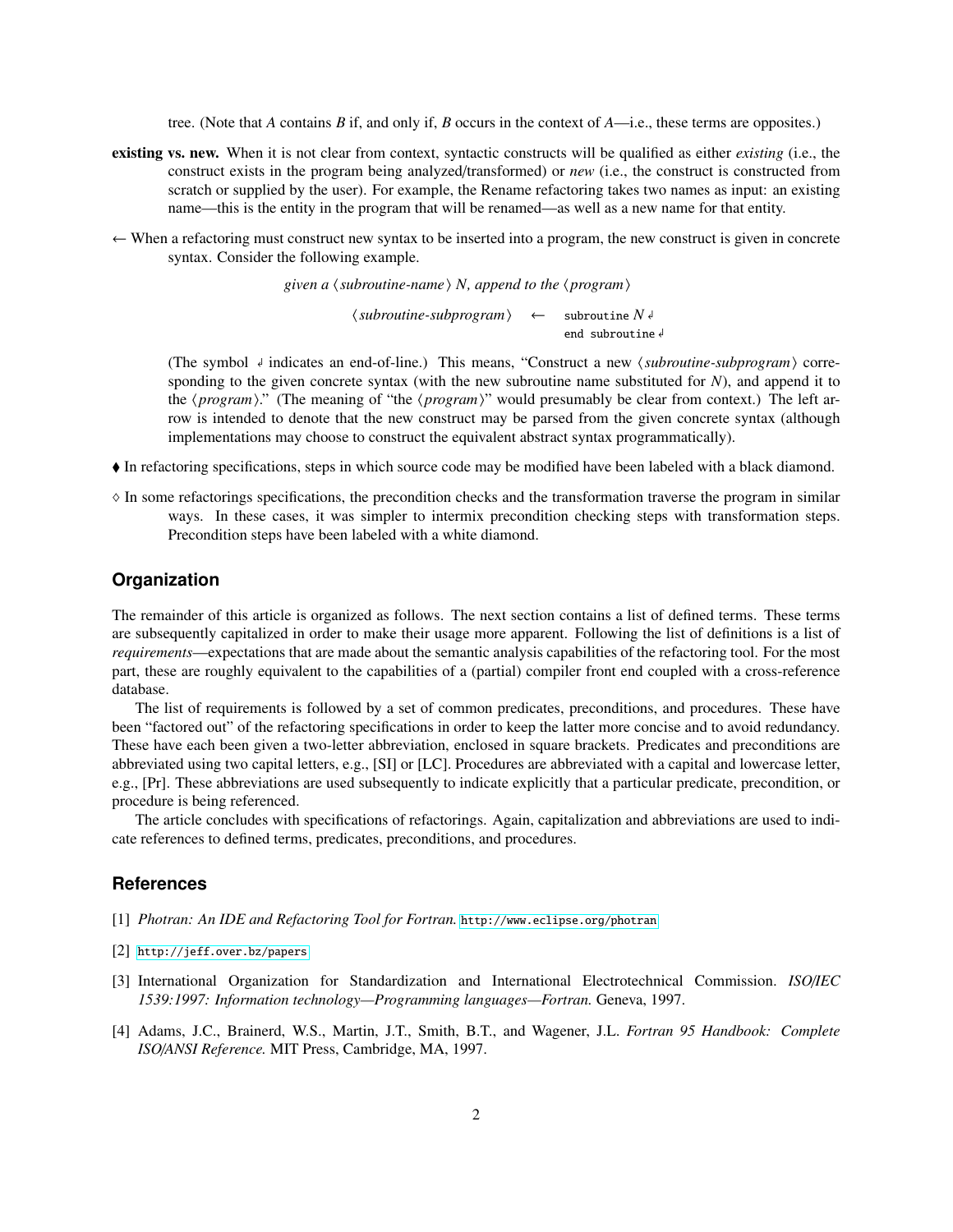tree. (Note that *A* contains *B* if, and only if, *B* occurs in the context of *A*—i.e., these terms are opposites.)

- existing vs. new. When it is not clear from context, syntactic constructs will be qualified as either *existing* (i.e., the construct exists in the program being analyzed/transformed) or *new* (i.e., the construct is constructed from scratch or supplied by the user). For example, the Rename refactoring takes two names as input: an existing name—this is the entity in the program that will be renamed—as well as a new name for that entity.
- ← When a refactoring must construct new syntax to be inserted into a program, the new construct is given in concrete syntax. Consider the following example.

*given a*  $\langle$  *subroutine-name* $\rangle$  *N, append to the*  $\langle$  *program* $\rangle$ 

 $\langle$ *subroutine-subprogram* $\rangle \leftarrow$  subroutine  $N \notin \mathbb{R}$ end subroutine

(The symbol  $\downarrow$  indicates an end-of-line.) This means, "Construct a new *(subroutine-subprogram*) corresponding to the given concrete syntax (with the new subroutine name substituted for *N*), and append it to the  $\langle program \rangle$ ." (The meaning of "the  $\langle program \rangle$ " would presumably be clear from context.) The left arrow is intended to denote that the new construct may be parsed from the given concrete syntax (although implementations may choose to construct the equivalent abstract syntax programmatically).

- In refactoring specifications, steps in which source code may be modified have been labeled with a black diamond.
- $\Diamond$  In some refactorings specifications, the precondition checks and the transformation traverse the program in similar ways. In these cases, it was simpler to intermix precondition checking steps with transformation steps. Precondition steps have been labeled with a white diamond.

### **Organization**

The remainder of this article is organized as follows. The next section contains a list of defined terms. These terms are subsequently capitalized in order to make their usage more apparent. Following the list of definitions is a list of *requirements*—expectations that are made about the semantic analysis capabilities of the refactoring tool. For the most part, these are roughly equivalent to the capabilities of a (partial) compiler front end coupled with a cross-reference database.

The list of requirements is followed by a set of common predicates, preconditions, and procedures. These have been "factored out" of the refactoring specifications in order to keep the latter more concise and to avoid redundancy. These have each been given a two-letter abbreviation, enclosed in square brackets. Predicates and preconditions are abbreviated using two capital letters, e.g., [SI] or [LC]. Procedures are abbreviated with a capital and lowercase letter, e.g., [Pr]. These abbreviations are used subsequently to indicate explicitly that a particular predicate, precondition, or procedure is being referenced.

The article concludes with specifications of refactorings. Again, capitalization and abbreviations are used to indicate references to defined terms, predicates, preconditions, and procedures.

### <span id="page-1-0"></span>**References**

- <span id="page-1-1"></span>[1] *Photran: An IDE and Refactoring Tool for Fortran.* <http://www.eclipse.org/photran>
- <span id="page-1-2"></span>[2] <http://jeff.over.bz/papers>
- [3] International Organization for Standardization and International Electrotechnical Commission. *ISO*/*IEC 1539:1997: Information technology—Programming languages—Fortran.* Geneva, 1997.
- <span id="page-1-3"></span>[4] Adams, J.C., Brainerd, W.S., Martin, J.T., Smith, B.T., and Wagener, J.L. *Fortran 95 Handbook: Complete ISO*/*ANSI Reference.* MIT Press, Cambridge, MA, 1997.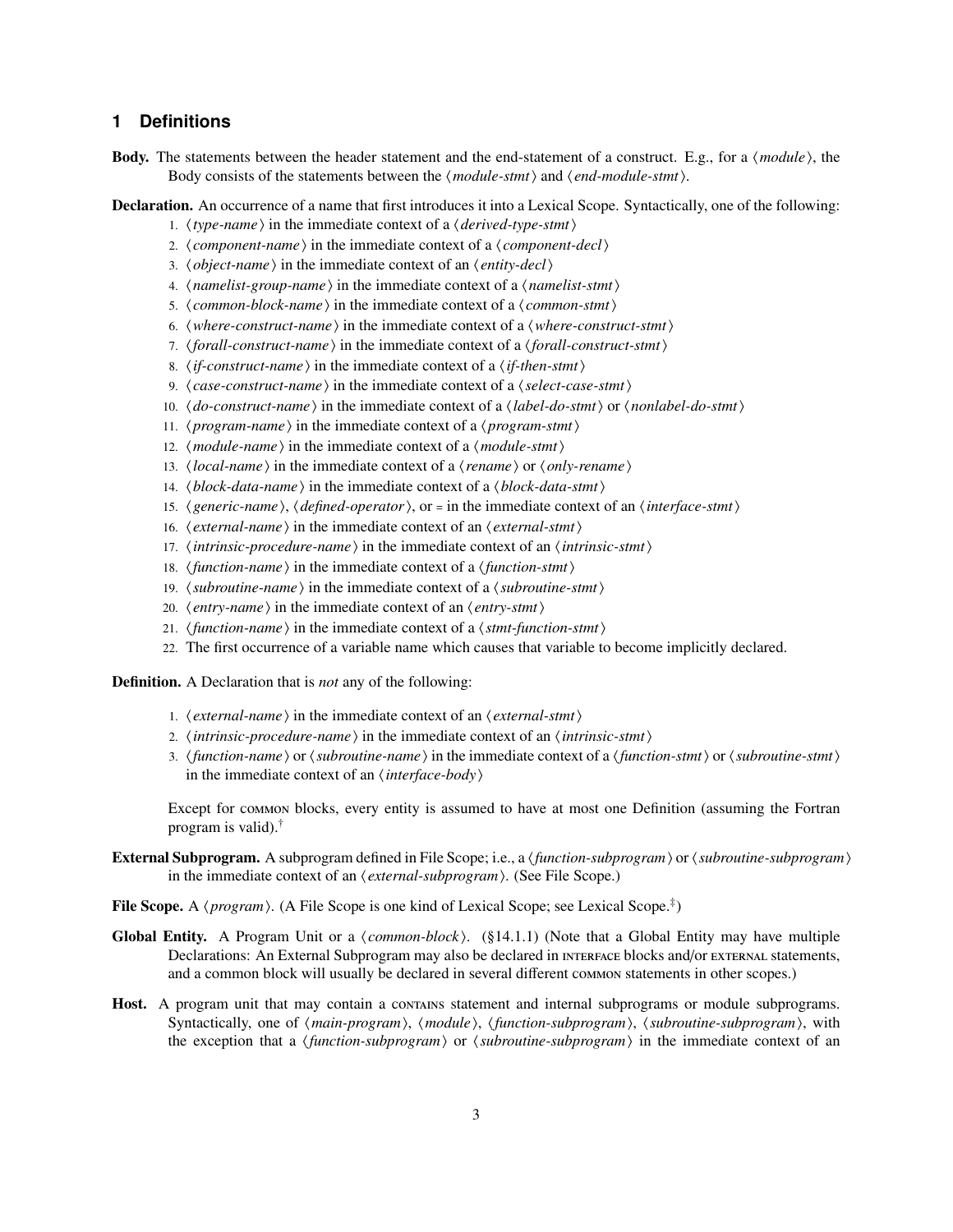# **1 Definitions**

Body. The statements between the header statement and the end-statement of a construct. E.g., for a *(module)*, the Body consists of the statements between the  $\langle \textit{module-stmt} \rangle$  and  $\langle \textit{end-modelle-stmt} \rangle$ .

Declaration. An occurrence of a name that first introduces it into a Lexical Scope. Syntactically, one of the following:

- 1.  $\langle type\text{-}name\rangle$  in the immediate context of a  $\langle derived\text{-}type\text{-}stmt\rangle$
- 2.  $\langle component\text{-}name\rangle$  in the immediate context of a  $\langle component\text{-}decl\rangle$
- 3. *(object-name)* in the immediate context of an *(entity-decl)*
- 4.  $\langle$ *namelist-group-name* $\rangle$  in the immediate context of a  $\langle$ *namelist-stmt* $\rangle$
- 5. *(common-block-name)* in the immediate context of a *(common-stmt)*
- 6.  $\langle$  *where-construct-name*  $\rangle$  in the immediate context of a  $\langle$  *where-construct-stmt* $\rangle$
- 7. *(forall-construct-name)* in the immediate context of a *(forall-construct-stmt)*
- 8.  $\langle$ *if-construct-name* $\rangle$  in the immediate context of a  $\langle$ *if-then-stmt* $\rangle$
- 9.  $\langle case-construct-name \rangle$  in the immediate context of a  $\langle select-case-stmt \rangle$
- 10.  $\langle$  *do-construct-name*) in the immediate context of a  $\langle$  *label-do-stmt*) or  $\langle$  *nonlabel-do-stmt*)
- 11.  $\langle program\text{-}name\rangle$  in the immediate context of a  $\langle program\text{-}stmt\rangle$
- 12.  $\langle module$ -name  $\rangle$  in the immediate context of a  $\langle module$ -stmt $\rangle$
- 13.  $\langle local-name \rangle$  in the immediate context of a  $\langle rename \rangle$  or  $\langle only-rename \rangle$
- 14. *(block-data-name)* in the immediate context of a *(block-data-stmt)*
- 15. *(generic-name), (defined-operator)*, or = in the immediate context of an *(interface-stmt)*
- 16.  $\langle external-name \rangle$  in the immediate context of an  $\langle external-stmt \rangle$
- 17. *\intrinsic-procedure-name* \ in the immediate context of an *\intrinsic-stmt* \
- 18. *(function-name)* in the immediate context of a *(function-stmt)*
- 19.  $\langle$ *subroutine-name* $\rangle$  in the immediate context of a  $\langle$ *subroutine-stmt* $\rangle$
- 20.  $\langle entry\text{-}name\rangle$  in the immediate context of an  $\langle entry\text{-}stmt\rangle$
- 21.  $\langle function\text{-}name\rangle$  in the immediate context of a  $\langle$  stmt-function-stmt $\rangle$
- 22. The first occurrence of a variable name which causes that variable to become implicitly declared.

Definition. A Declaration that is *not* any of the following:

- 1. *(external-name)* in the immediate context of an *(external-stmt)*
- 2.  $\langle$ *intrinsic-procedure-name* $\rangle$  in the immediate context of an  $\langle$ *intrinsic-stmt* $\rangle$
- 3. *(function-name)* or *(subroutine-name)* in the immediate context of a *(function-stmt)* or *(subroutine-stmt)* in the immediate context of an  $\langle$ *interface-body* $\rangle$

Except for common blocks, every entity is assumed to have at most one Definition (assuming the Fortran program is valid).†

External Subprogram. A subprogram defined in File Scope; i.e., a *{function-subprogram*} or *{subroutine-subprogram}* in the immediate context of an  $\langle external-subprogram\rangle$ . (See File Scope.)

File Scope. A  $\langle program \rangle$ . (A File Scope is one kind of Lexical Scope; see Lexical Scope.<sup>‡</sup>)

- **Global Entity.** A Program Unit or a  $\langle common-block \rangle$ . (§14.1.1) (Note that a Global Entity may have multiple Declarations: An External Subprogram may also be declared in INTERFACE blocks and/or EXTERNAL statements, and a common block will usually be declared in several different common statements in other scopes.)
- Host. A program unit that may contain a contains statement and internal subprograms or module subprograms. Syntactically, one of  $\langle main-program \rangle$ ,  $\langle module \rangle$ ,  $\langle function-subprogram \rangle$ ,  $\langle subroutine-subprogram \rangle$ , with the exception that a  $\langle function-subprogram\rangle$  or  $\langle subroutine-subprogram\rangle$  in the immediate context of an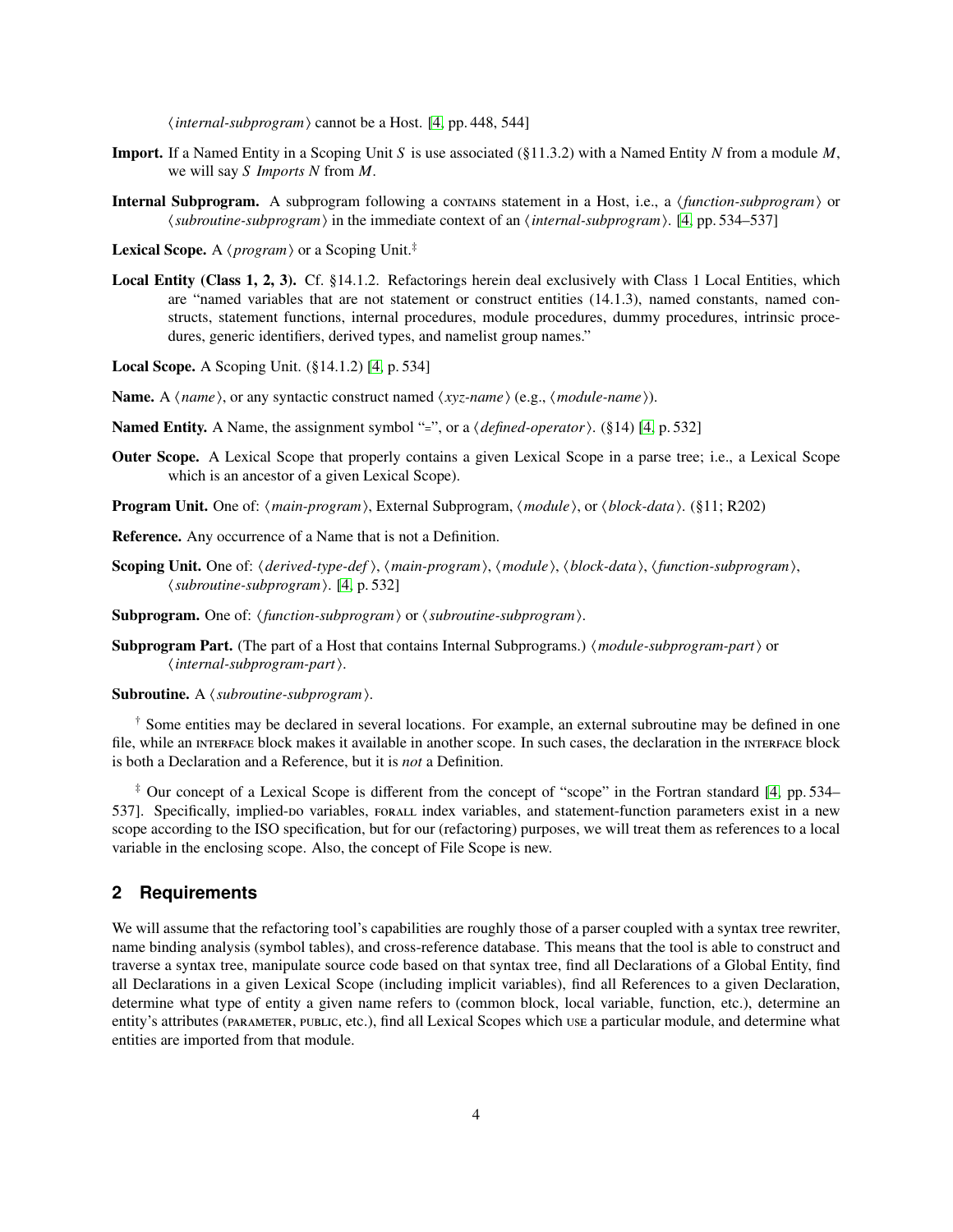$\langle internal-subprogram \rangle$  cannot be a Host. [\[4,](#page-1-3) pp. 448, 544]

- Import. If a Named Entity in a Scoping Unit *S* is use associated (§11.3.2) with a Named Entity *N* from a module *M*, we will say *S Imports N* from *M*.
- **Internal Subprogram.** A subprogram following a contains statement in a Host, i.e., a *{function-subprogram}* or  $\langle subroutine-subprogram \rangle$  in the immediate context of an  $\langle internal-subprogram \rangle$ . [\[4,](#page-1-3) pp. 534–537]
- **Lexical Scope.** A  $\langle program \rangle$  or a Scoping Unit.<sup>‡</sup>
- Local Entity (Class 1, 2, 3). Cf. §14.1.2. Refactorings herein deal exclusively with Class 1 Local Entities, which are "named variables that are not statement or construct entities (14.1.3), named constants, named constructs, statement functions, internal procedures, module procedures, dummy procedures, intrinsic procedures, generic identifiers, derived types, and namelist group names."
- Local Scope. A Scoping Unit. (§14.1.2) [\[4,](#page-1-3) p. 534]
- Name. A  $\langle name \rangle$ , or any syntactic construct named  $\langle xyz\text{-}name \rangle$  (e.g.,  $\langle module\text{-}name \rangle$ ).
- Named Entity. A Name, the assignment symbol "=", or a  $\langle \text{defined-operator} \rangle$ . (§14) [\[4,](#page-1-3) p. 532]
- Outer Scope. A Lexical Scope that properly contains a given Lexical Scope in a parse tree; i.e., a Lexical Scope which is an ancestor of a given Lexical Scope).
- Program Unit. One of:  $\langle main-program \rangle$ , External Subprogram,  $\langle module \rangle$ , or  $\langle block-data \rangle$ . (§11; R202)
- Reference. Any occurrence of a Name that is not a Definition.
- Scoping Unit. One of:  $\langle derived\text{-type-def}\rangle$ ,  $\langle main\text{-}program\rangle$ ,  $\langle module\rangle$ ,  $\langle block\text{-}data\rangle$ ,  $\langle function\text{-}subprogram\rangle$ , h*subroutine-subprogram*i. [\[4,](#page-1-3) p. 532]
- Subprogram. One of:  $\{function\text{-}subprogram\}$  or  $\{subroutine\text{-}subprogram\}$ .
- Subprogram Part. (The part of a Host that contains Internal Subprograms.) (*module-subprogram-part*) or h*internal-subprogram-part*i.

Subroutine. A  $\langle$ *subroutine-subprogram* $\rangle$ .

† Some entities may be declared in several locations. For example, an external subroutine may be defined in one file, while an INTERFACE block makes it available in another scope. In such cases, the declaration in the INTERFACE block is both a Declaration and a Reference, but it is *not* a Definition.

‡ Our concept of a Lexical Scope is different from the concept of "scope" in the Fortran standard [\[4,](#page-1-3) pp. 534– 537]. Specifically, implied-po variables, FORALL index variables, and statement-function parameters exist in a new scope according to the ISO specification, but for our (refactoring) purposes, we will treat them as references to a local variable in the enclosing scope. Also, the concept of File Scope is new.

### <span id="page-3-0"></span>**2 Requirements**

We will assume that the refactoring tool's capabilities are roughly those of a parser coupled with a syntax tree rewriter, name binding analysis (symbol tables), and cross-reference database. This means that the tool is able to construct and traverse a syntax tree, manipulate source code based on that syntax tree, find all Declarations of a Global Entity, find all Declarations in a given Lexical Scope (including implicit variables), find all References to a given Declaration, determine what type of entity a given name refers to (common block, local variable, function, etc.), determine an entity's attributes (PARAMETER, PUBLIC, etc.), find all Lexical Scopes which use a particular module, and determine what entities are imported from that module.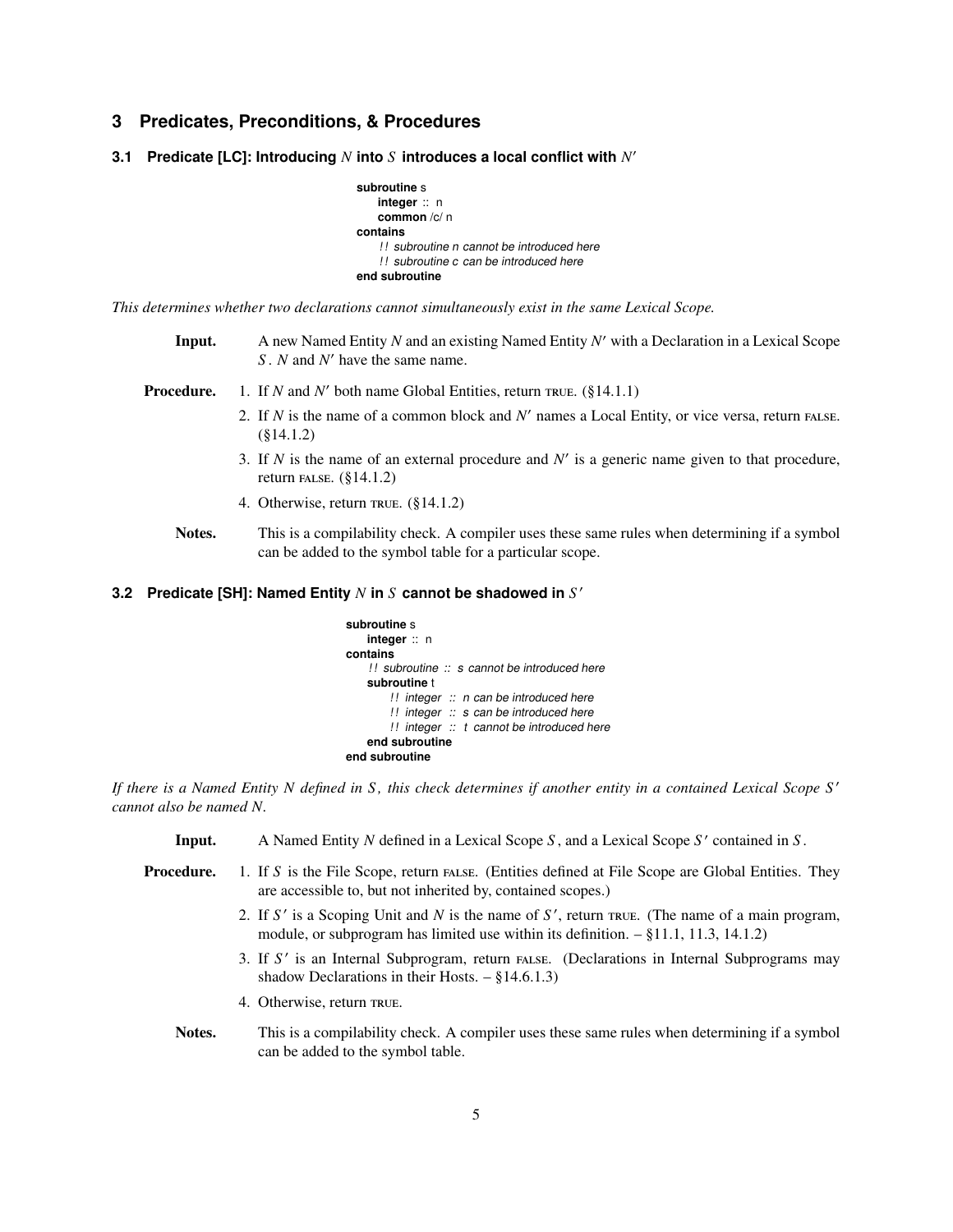# <span id="page-4-1"></span>**3 Predicates, Preconditions, & Procedures**

**3.1 Predicate [LC]: Introducing** *N* **into** *S* **introduces a local conflict with** *N* ′

```
subroutine s
    integer :: n
    common /c/ n
contains
    !! subroutine n cannot be introduced here
    ! ! subroutine c can be introduced here
end subroutine
```
*This determines whether two declarations cannot simultaneously exist in the same Lexical Scope.*

- Input. A new Named Entity *N* and an existing Named Entity *N* ′ with a Declaration in a Lexical Scope *S* . *N* and *N* ′ have the same name.
- **Procedure.** 1. If *N* and *N'* both name Global Entities, return TRUE. (§14.1.1)
	- 2. If  $N$  is the name of a common block and  $N'$  names a Local Entity, or vice versa, return FALSE. (§14.1.2)
	- 3. If  $N$  is the name of an external procedure and  $N'$  is a generic name given to that procedure, return FALSE.  $(\S14.1.2)$
	- 4. Otherwise, return  $TRUE. (§14.1.2)$
	- Notes. This is a compilability check. A compiler uses these same rules when determining if a symbol can be added to the symbol table for a particular scope.

# <span id="page-4-0"></span>**3.2 Predicate [SH]: Named Entity** *N* **in** *S* **cannot be shadowed in** *S* ′

```
subroutine s
   integer :: n
contains
    !! subroutine :: s cannot be introduced here
   subroutine t
        !! integer :: n can be introduced here
        !! integer :: s can be introduced here
        !! integer :: t cannot be introduced here
    end subroutine
end subroutine
```
*If there is a Named Entity N defined in S , this check determines if another entity in a contained Lexical Scope S* ′ *cannot also be named N.*

| Input.     | A Named Entity N defined in a Lexical Scope S, and a Lexical Scope $S'$ contained in S.            |
|------------|----------------------------------------------------------------------------------------------------|
| Procedure. | 1. If S is the File Scope, return FALSE. (Entities defined at File Scope are Global Entities. They |
|            | are accessible to, but not inherited by, contained scopes.)                                        |

- 2. If  $S'$  is a Scoping Unit and  $N$  is the name of  $S'$ , return rave. (The name of a main program, module, or subprogram has limited use within its definition. – §11.1, 11.3, 14.1.2)
- 3. If S' is an Internal Subprogram, return FALSE. (Declarations in Internal Subprograms may shadow Declarations in their Hosts.  $-$  §14.6.1.3)
- 4. Otherwise, return TRUE.
- Notes. This is a compilability check. A compiler uses these same rules when determining if a symbol can be added to the symbol table.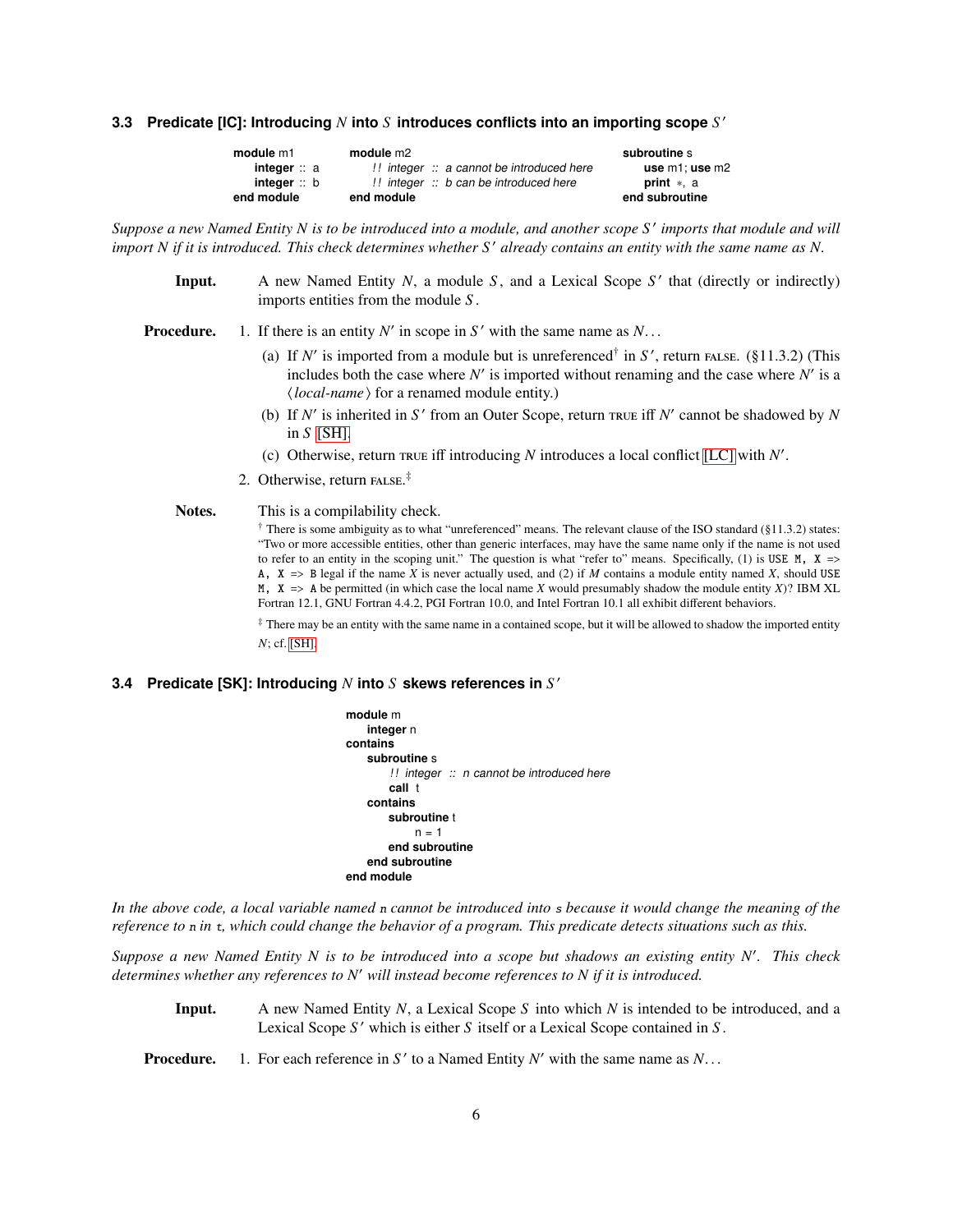# <span id="page-5-1"></span>**3.3 Predicate [IC]: Introducing** *N* **into** *S* **introduces conflicts into an importing scope** *S* ′

| module m1          | module m2                                       | subroutine s         |
|--------------------|-------------------------------------------------|----------------------|
| <b>integer</b> ∷ a | $\mu$ integer $\mu$ a cannot be introduced here | use $m1$ : use $m2$  |
| integer: b         | $\mu$ integer $\mu$ b can be introduced here    | <b>print</b> $*$ , a |
| end module         | end module                                      | end subroutine       |

*Suppose a new Named Entity N is to be introduced into a module, and another scope S* ′ *imports that module and will import N if it is introduced. This check determines whether S' already contains an entity with the same name as N.* 

Input. A new Named Entity *N*, a module *S*, and a Lexical Scope *S'* that (directly or indirectly) imports entities from the module *S* .

**Procedure.** 1. If there is an entity  $N'$  in scope in  $S'$  with the same name as  $N$ ...

- (a) If  $N'$  is imported from a module but is unreferenced<sup>†</sup> in  $S'$ , return FALSE. (§11.3.2) (This includes both the case where  $N'$  is imported without renaming and the case where  $N'$  is a h*local-name*i for a renamed module entity.)
- (b) If  $N'$  is inherited in  $S'$  from an Outer Scope, return  $TRUE$  iff  $N'$  cannot be shadowed by  $N$ in *S* [\[SH\].](#page-4-0)
- (c) Otherwise, return  $\text{true}$  iff introducing *N* introduces a local conflict [\[LC\]](#page-4-1) with *N'*.
- 2. Otherwise, return  $FALSE.*$

#### Notes. This is a compilability check.

 $\dagger$  There is some ambiguity as to what "unreferenced" means. The relevant clause of the ISO standard (§11.3.2) states: "Two or more accessible entities, other than generic interfaces, may have the same name only if the name is not used to refer to an entity in the scoping unit." The question is what "refer to" means. Specifically, (1) is USE  $M$ ,  $X \Rightarrow$ A,  $X \implies B$  legal if the name *X* is never actually used, and (2) if *M* contains a module entity named *X*, should USE  $M$ ,  $X \Rightarrow$  A be permitted (in which case the local name *X* would presumably shadow the module entity *X*)? IBM XL Fortran 12.1, GNU Fortran 4.4.2, PGI Fortran 10.0, and Intel Fortran 10.1 all exhibit different behaviors.

‡ There may be an entity with the same name in a contained scope, but it will be allowed to shadow the imported entity *N*; cf. [\[SH\].](#page-4-0)

# <span id="page-5-0"></span>**3.4 Predicate [SK]: Introducing** *N* **into** *S* **skews references in** *S* ′

| module m                                            |
|-----------------------------------------------------|
| integer n                                           |
| contains                                            |
| subroutine s                                        |
| !! integer $\therefore$ n cannot be introduced here |
| call t                                              |
| contains                                            |
| subroutine t                                        |
| $n = 1$                                             |
| end subroutine                                      |
| end subroutine                                      |
| end module                                          |

*In the above code, a local variable named* <sup>n</sup> *cannot be introduced into* <sup>s</sup> *because it would change the meaning of the reference to* <sup>n</sup> *in* <sup>t</sup>*, which could change the behavior of a program. This predicate detects situations such as this.*

*Suppose a new Named Entity N is to be introduced into a scope but shadows an existing entity N*′ *. This check determines whether any references to N*′ *will instead become references to N if it is introduced.*

- Input. A new Named Entity *N*, a Lexical Scope *S* into which *N* is intended to be introduced, and a Lexical Scope *S* ′ which is either *S* itself or a Lexical Scope contained in *S* .
- **Procedure.** 1. For each reference in  $S'$  to a Named Entity  $N'$  with the same name as  $N$ ...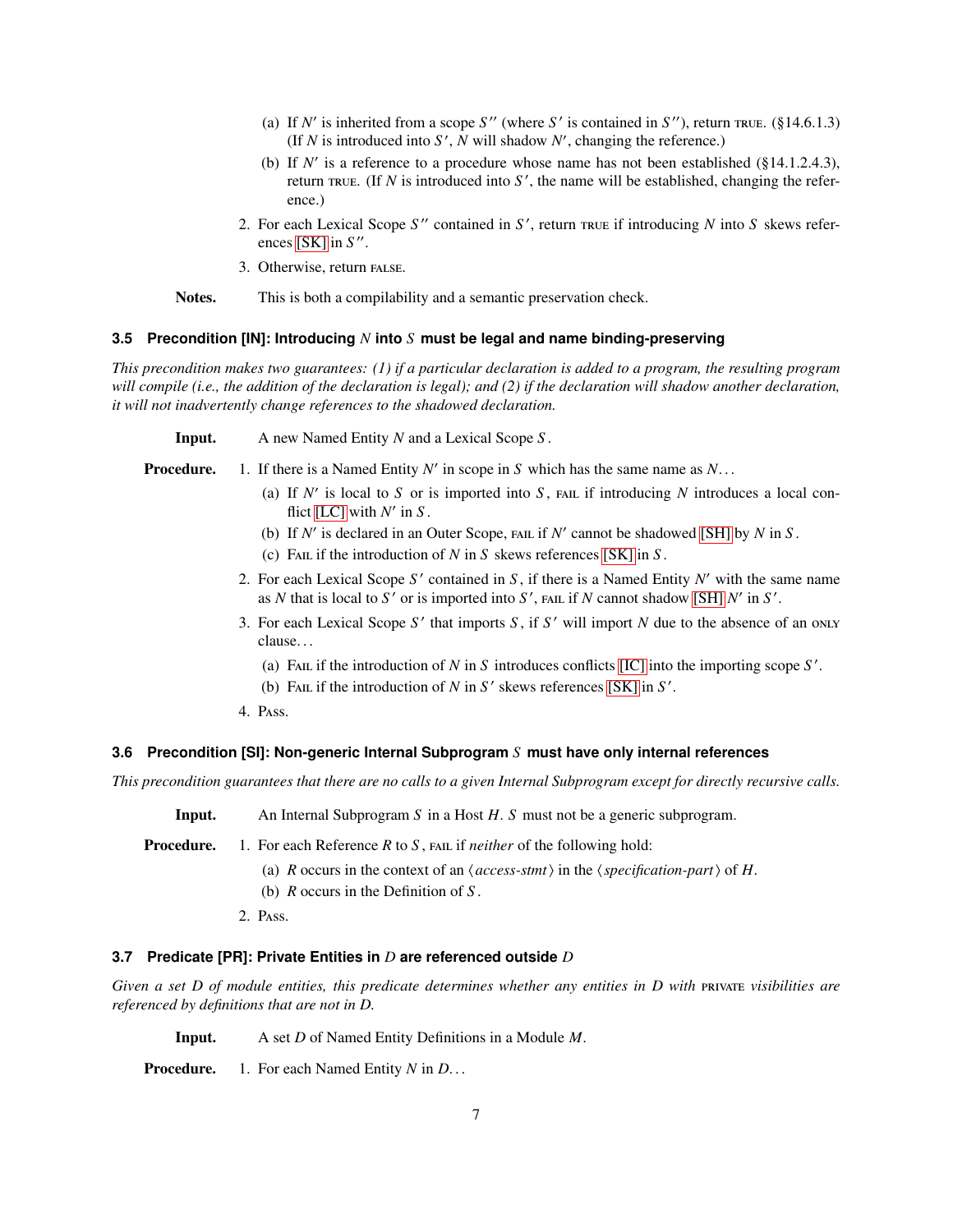- (a) If  $N'$  is inherited from a scope  $S''$  (where  $S'$  is contained in  $S''$ ), return rule. (§14.6.1.3) (If  $N$  is introduced into  $S'$ ,  $N$  will shadow  $N'$ , changing the reference.)
- (b) If  $N'$  is a reference to a procedure whose name has not been established ( $§14.1.2.4.3$ ), return  $\text{true.}$  (If *N* is introduced into *S'*, the name will be established, changing the reference.)
- 2. For each Lexical Scope *S* ′′ contained in *S* ′ , return if introducing *N* into *S* skews refer-ences [\[SK\]](#page-5-0) in *S*".
- 3. Otherwise, return FALSE.
- Notes. This is both a compilability and a semantic preservation check.

#### <span id="page-6-1"></span>**3.5 Precondition [IN]: Introducing** *N* **into** *S* **must be legal and name binding-preserving**

*This precondition makes two guarantees: (1) if a particular declaration is added to a program, the resulting program will compile (i.e., the addition of the declaration is legal); and (2) if the declaration will shadow another declaration, it will not inadvertently change references to the shadowed declaration.*

Input. A new Named Entity *N* and a Lexical Scope *S* .

- **Procedure.** 1. If there is a Named Entity  $N'$  in scope in  $S$  which has the same name as  $N$ ...
	- (a) If  $N'$  is local to  $S$  or is imported into  $S$ ,  $FAL$  if introducing  $N$  introduces a local conflict  $[LC]$  with  $N'$  in  $S$ .
	- (b) If  $N'$  is declared in an Outer Scope,  $FAL$  if  $N'$  cannot be shadowed [\[SH\]](#page-4-0) by  $N$  in  $S$ .
	- (c) FAIL if the introduction of  $N$  in  $S$  skews references [\[SK\]](#page-5-0) in  $S$ .
	- 2. For each Lexical Scope *S* ′ contained in *S* , if there is a Named Entity *N* ′ with the same name as *N* that is local to  $S'$  or is imported into  $S'$ ,  $FAL$  if *N* cannot shadow [\[SH\]](#page-4-0)  $N'$  in  $S'$ .
	- 3. For each Lexical Scope *S* ′ that imports *S* , if *S* ′ will import *N* due to the absence of an clause. . .
		- (a) FAIL if the introduction of  $N$  in  $S$  introduces conflicts [\[IC\]](#page-5-1) into the importing scope  $S'$ .
		- (b) FAIL if the introduction of  $N$  in  $S'$  skews references [\[SK\]](#page-5-0) in  $S'$ .
	- 4. PASS.

#### <span id="page-6-2"></span>**3.6 Precondition [SI]: Non-generic Internal Subprogram** *S* **must have only internal references**

*This precondition guarantees that there are no calls to a given Internal Subprogram except for directly recursive calls.*

Input. An Internal Subprogram *S* in a Host *H*. *S* must not be a generic subprogram.

**Procedure.** 1. For each Reference *R* to *S*, FAIL if *neither* of the following hold:

- (a) *R* occurs in the context of an  $\langle$  *access-stmt* $\rangle$  in the  $\langle$  *specification-part* $\rangle$  of *H*.
- (b) *R* occurs in the Definition of *S* .
- 2. PASS.

## <span id="page-6-0"></span>**3.7 Predicate [PR]: Private Entities in** *D* **are referenced outside** *D*

*Given a set D of module entities, this predicate determines whether any entities in D with PHI visibilities are referenced by definitions that are not in D.*

Input. A set *D* of Named Entity Definitions in a Module *M*.

Procedure. 1. For each Named Entity *N* in *D*. . .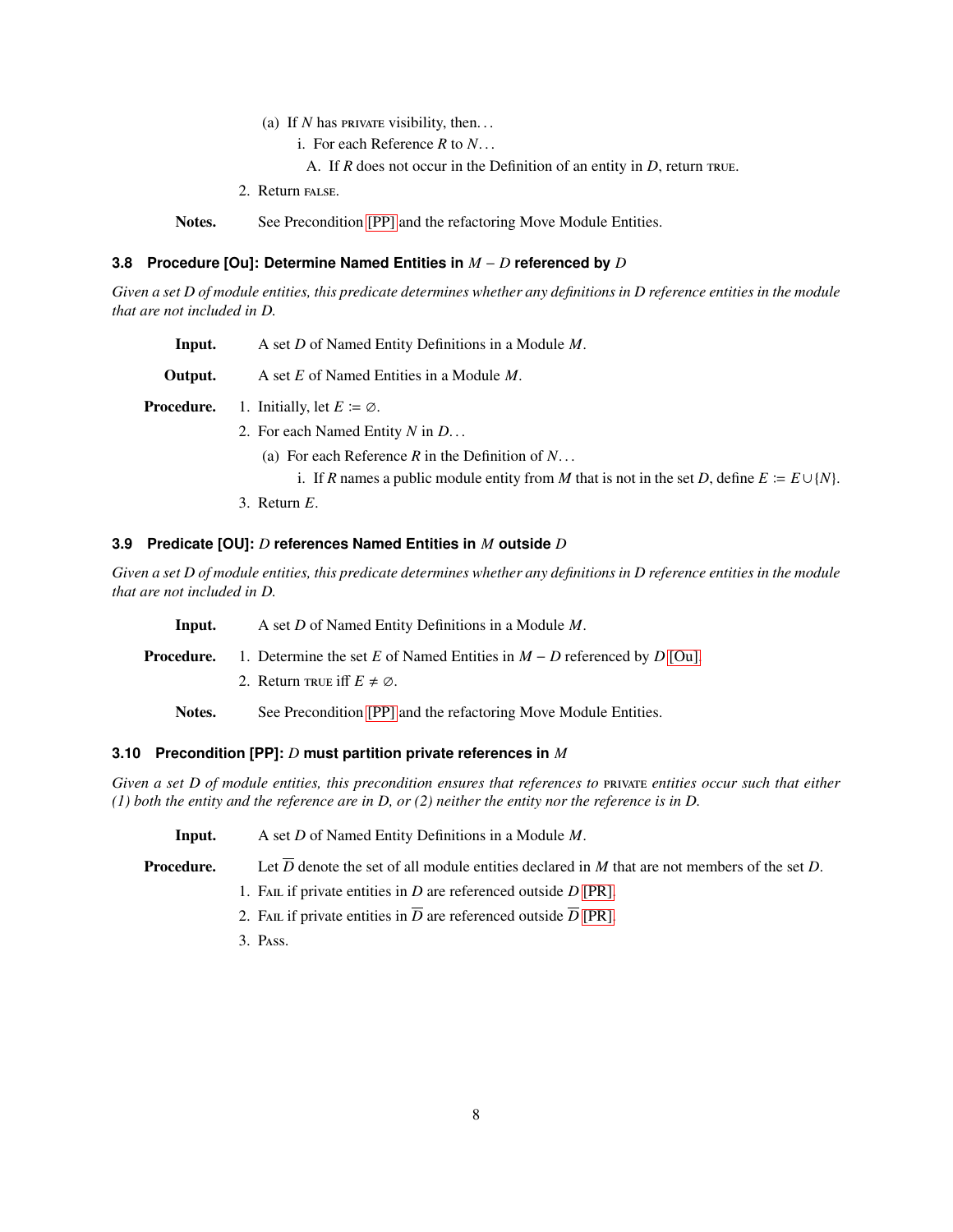- (a) If  $N$  has **provale** visibility, then...
	- i. For each Reference *R* to *N*. . .
	- A. If  $R$  does not occur in the Definition of an entity in  $D$ , return  $R$  return.
- 2. Return FALSE.

Notes. See Precondition [\[PP\]](#page-7-0) and the refactoring Move Module Entities.

#### <span id="page-7-1"></span>**3.8 Procedure [Ou]: Determine Named Entities in** *M* − *D* **referenced by** *D*

*Given a set D of module entities, this predicate determines whether any definitions in D reference entities in the module that are not included in D.*

Input. A set *D* of Named Entity Definitions in a Module *M*.

Output. A set *E* of Named Entities in a Module *M*.

**Procedure.** 1. Initially, let  $E \coloneqq \emptyset$ .

2. For each Named Entity *N* in *D*. . .

(a) For each Reference *R* in the Definition of *N*. . .

- i. If *R* names a public module entity from *M* that is not in the set *D*, define  $E \coloneq E \cup \{N\}$ .
- 3. Return *E*.

#### <span id="page-7-2"></span>**3.9 Predicate [OU]:** *D* **references Named Entities in** *M* **outside** *D*

*Given a set D of module entities, this predicate determines whether any definitions in D reference entities in the module that are not included in D.*

| Input.     | A set D of Named Entity Definitions in a Module M.                        |
|------------|---------------------------------------------------------------------------|
| Procedure. | 1. Determine the set E of Named Entities in $M - D$ referenced by D [Ou]. |
|            | 2. Return TRUE iff $E \neq \emptyset$ .                                   |
| Notes.     | See Precondition [PP] and the refactoring Move Module Entities.           |

#### <span id="page-7-0"></span>**3.10 Precondition [PP]:** *D* **must partition private references in** *M*

*Given a set D of module entities, this precondition ensures that references to entities occur such that either (1) both the entity and the reference are in D, or (2) neither the entity nor the reference is in D.*

| A set D of Named Entity Definitions in a Module $M$ .<br>Input. |  |
|-----------------------------------------------------------------|--|
|-----------------------------------------------------------------|--|

**Procedure.** Let  $\overline{D}$  denote the set of all module entities declared in *M* that are not members of the set *D*.

- 1. FAIL if private entities in  $D$  are referenced outside  $D$  [\[PR\].](#page-6-0)
- 2. FAIL if private entities in  $\overline{D}$  are referenced outside  $\overline{D}$  [\[PR\].](#page-6-0)
- 3. PASS.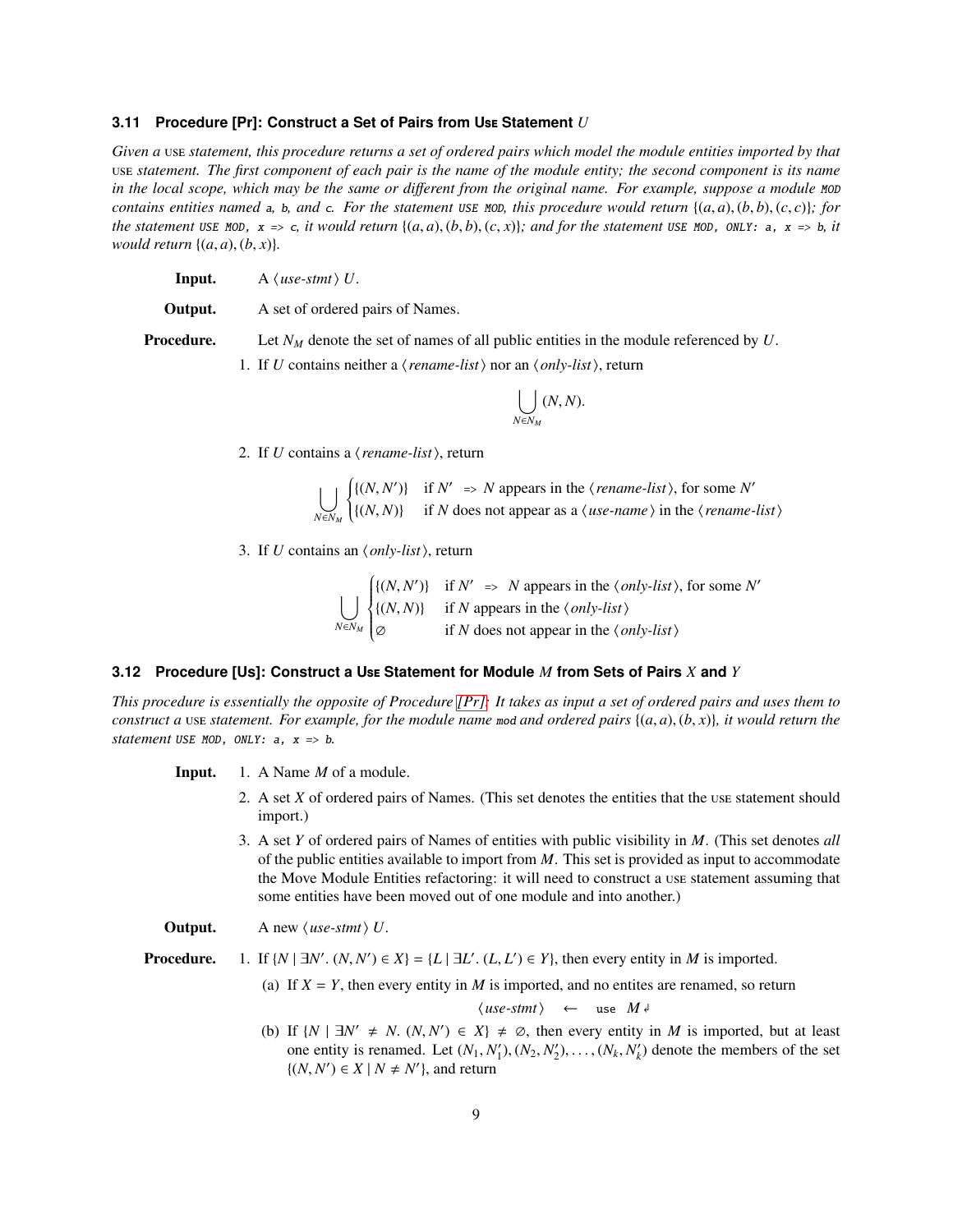#### <span id="page-8-0"></span>**3.11 Procedure [Pr]: Construct a Set of Pairs from U Statement** *U*

*Given a vse statement, this procedure returns a set of ordered pairs which model the module entities imported by that statement. The first component of each pair is the name of the module entity; the second component is its name in the local scope, which may be the same or different from the original name. For example, suppose a module MOD contains entities named* a, b, and c. For the statement USE MOD, this procedure would return  $\{(a, a), (b, b), (c, c)\}\$ ; for *the statement* USE MOD,  $x \Rightarrow c$ , *it would return*  $\{(a, a), (b, b), (c, x)\}$ ; and for the statement USE MOD, ONLY: a,  $x \Rightarrow b$ , *it would return*  $\{(a, a), (b, x)\}.$ 

**Input.** A  $\langle$  *use-stmt* $\rangle$  *U*.

**Output.** A set of ordered pairs of Names.

**Procedure.** Let  $N_M$  denote the set of names of all public entities in the module referenced by U.

1. If *U* contains neither a  $\langle \text{rename-list} \rangle$  nor an  $\langle \text{only-list} \rangle$ , return

$$
\bigcup_{N\in N_M}(N,N).
$$

2. If *U* contains a  $\langle$  *rename-list* $\rangle$ , return

 $\vert \ \ \vert$ *N*∈*N<sup>M</sup>*  $\left\{ \right.$  $\overline{\mathcal{L}}$  $\{(N, N')\}$  if  $N' \implies N$  appears in the  $\langle \text{rename-list} \rangle$ , for some N'  $\{(N, N)\}$  if *N* does not appear as a  $\langle$  *use-name*  $\rangle$  in the  $\langle$  *rename-list* $\rangle$ 

3. If *U* contains an  $\langle only-list \rangle$ , return

 $\vert \ \ \vert$ *N*∈*N<sup>M</sup>*  $\int$  $\overline{\mathcal{L}}$  $\{(N, N')\}$  if  $N' \implies N$  appears in the  $\langle only-list \rangle$ , for some N'  $\{(N, N)\}\$ if *N* appears in the  $\langle only-list\rangle$ ∅ if *N* does not appear in the h*only-list*i

#### <span id="page-8-1"></span>**3.12 Procedure [Us]: Construct a U Statement for Module** *M* **from Sets of Pairs** *X* **and** *Y*

*This procedure is essentially the opposite of Procedure [\[Pr\]:](#page-8-0) It takes as input a set of ordered pairs and uses them to construct a* use *statement. For example, for the module name mod and ordered pairs*  $\{(a, a), (b, x)\}\$ *, it would return the statement* USE MOD, ONLY:  $a$ ,  $x \Rightarrow b$ .

Input. 1. A Name *M* of a module.

- 2. A set *X* of ordered pairs of Names. (This set denotes the entities that the use statement should import.)
- 3. A set *Y* of ordered pairs of Names of entities with public visibility in *M*. (This set denotes *all* of the public entities available to import from *M*. This set is provided as input to accommodate the Move Module Entities refactoring: it will need to construct a use statement assuming that some entities have been moved out of one module and into another.)

**Output.** A new  $\langle$  *use-stmt* $\rangle$  *U*.

**Procedure.** 1. If  $\{N \mid \exists N'. \ (N, N') \in X\} = \{L \mid \exists L'. \ (L, L') \in Y\}$ , then every entity in *M* is imported.

(a) If  $X = Y$ , then every entity in *M* is imported, and no entites are renamed, so return

 $\langle$ *use-stmt* $\rangle$  ← use  $M \downarrow$ 

(b) If  $\{N \mid \exists N' \neq N$ .  $(N, N') \in X\} \neq \emptyset$ , then every entity in *M* is imported, but at least one entity is renamed. Let  $(N_1, N'_1), (N_2, N'_2), \ldots, (N_k, N'_k)$  denote the members of the set  $\{(N, N') \in X \mid N \neq N'\},\$  and return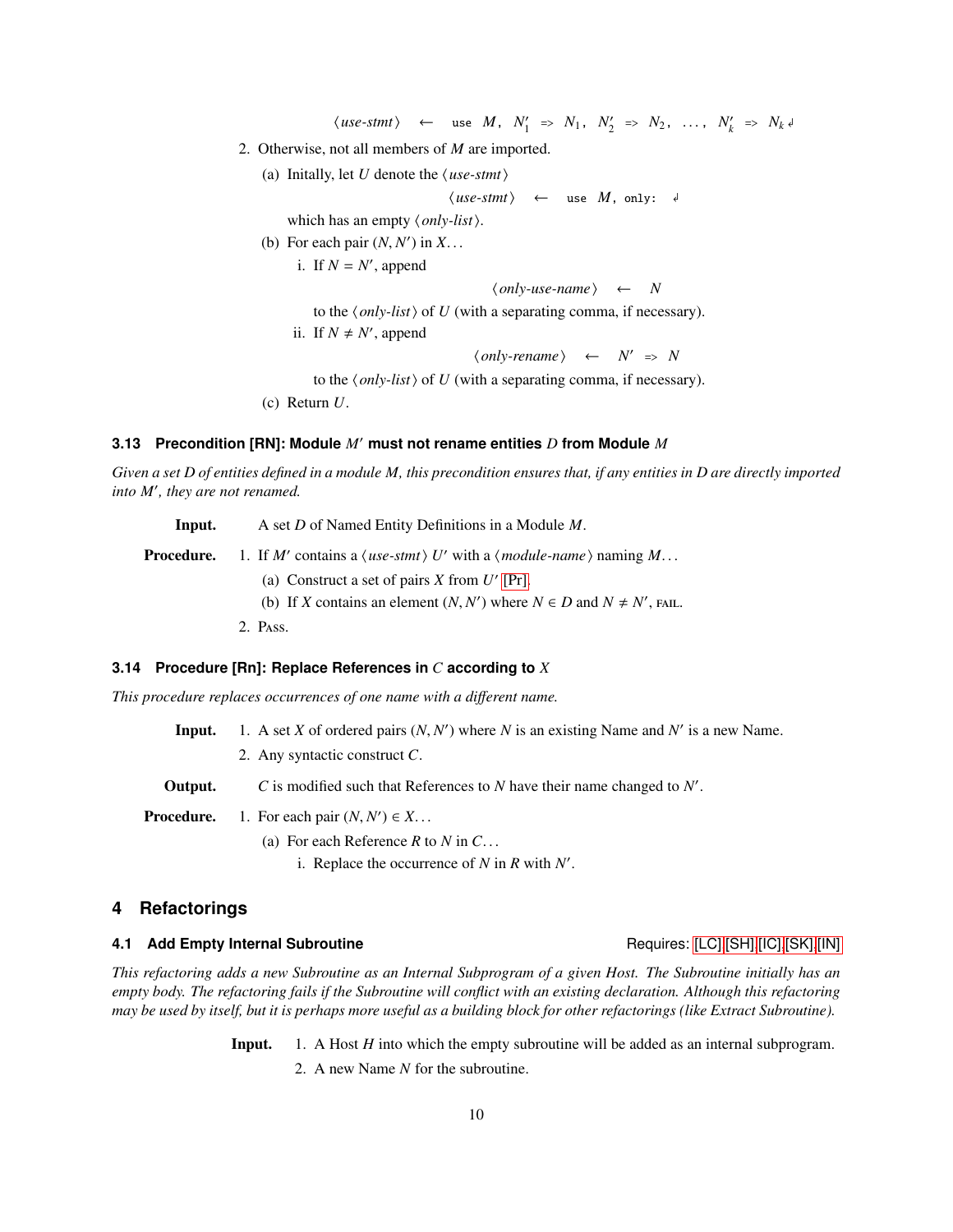$\langle use\text{-}stm1\rangle$  ← use *M*,  $N'_1 \Rightarrow N_1$ ,  $N'_2 \Rightarrow N_2$ , ...,  $N'_k \Rightarrow N_k \downarrow$ 

- 2. Otherwise, not all members of *M* are imported.
	- (a) Initally, let *U* denote the  $\langle$ *use-stmt* $\rangle$

 $\langle$ *use-stmt* $\rangle$  ← use  $M$ , only:  $\downarrow$ 

which has an empty  $\langle only-list \rangle$ .

(b) For each pair  $(N, N')$  in  $X$ ...

i. If  $N = N'$ , append

```
\langle only-use-name\rangle \leftarrow N
```
to the  $\langle only-list \rangle$  of *U* (with a separating comma, if necessary).

ii. If  $N \neq N'$ , append

 $\langle only-remainder \rangle \leftarrow N' \Rightarrow N$ 

to the  $\langle only\text{-}list\rangle$  of *U* (with a separating comma, if necessary).

(c) Return *U*.

### <span id="page-9-0"></span>**3.13 Precondition [RN]: Module** *M*′ **must not rename entities** *D* **from Module** *M*

*Given a set D of entities defined in a module M, this precondition ensures that, if any entities in D are directly imported into M*′ *, they are not renamed.*

Input. A set *D* of Named Entity Definitions in a Module *M*.

Procedure. contains a  $\langle$ *use-stmt* $\rangle$  *U'* with a  $\langle$ *module-name* $\rangle$  naming *M*...

- (a) Construct a set of pairs  $X$  from  $U'$  [\[Pr\].](#page-8-0)
- (b) If *X* contains an element  $(N, N')$  where  $N \in D$  and  $N \neq N'$ , FAIL.
- 2. PASS.

#### <span id="page-9-1"></span>**3.14 Procedure [Rn]: Replace References in** *C* **according to** *X*

*This procedure replaces occurrences of one name with a di*ff*erent name.*

**Input.** 1. A set *X* of ordered pairs  $(N, N')$  where *N* is an existing Name and *N'* is a new Name.

2. Any syntactic construct *C*.

**Output.**  $C$  is modified such that References to  $N$  have their name changed to  $N'$ .

**Procedure.** 1. For each pair  $(N, N') \in X$ ...

(a) For each Reference *R* to *N* in *C*. . .

i. Replace the occurrence of  $N$  in  $R$  with  $N'$ .

# **4 Refactorings**

## **4.1 Add Empty Internal Subroutine All and Subroutine** Requires: [\[LC\]](#page-4-1)[,\[SH\]](#page-4-0)[,\[IC\],](#page-5-1)[\[SK\],](#page-5-0)[\[IN\]](#page-6-1)

*This refactoring adds a new Subroutine as an Internal Subprogram of a given Host. The Subroutine initially has an empty body. The refactoring fails if the Subroutine will conflict with an existing declaration. Although this refactoring may be used by itself, but it is perhaps more useful as a building block for other refactorings (like Extract Subroutine).*

Input. 1. A Host *H* into which the empty subroutine will be added as an internal subprogram.

2. A new Name *N* for the subroutine.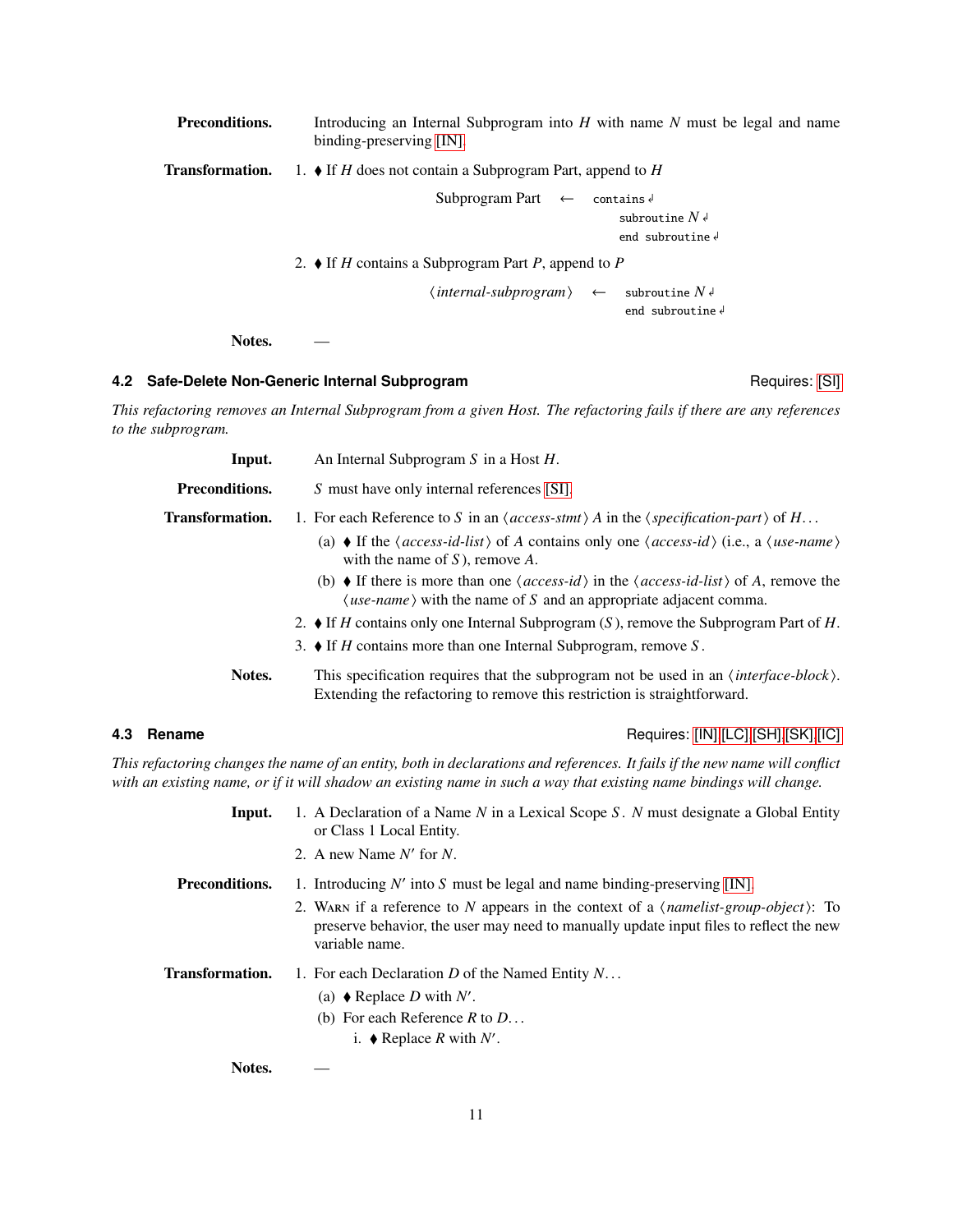| <b>Preconditions.</b>  | Introducing an Internal Subprogram into $H$ with name $N$ must be legal and name<br>binding-preserving $[IN]$ . |
|------------------------|-----------------------------------------------------------------------------------------------------------------|
| <b>Transformation.</b> | 1. $\bullet$ If H does not contain a Subprogram Part, append to H                                               |
|                        | Subprogram Part $\leftarrow$ contains $\leftarrow$<br>subroutine $N \notin$<br>end subroutine $\epsilon$        |
|                        | 2. $\bullet$ If H contains a Subprogram Part P, append to P                                                     |
|                        | $\langle internal-subprogram \rangle \leftarrow$ subroutine $N \notin \mathbb{R}$<br>end subroutine $\sqrt{ }$  |
| Notes.                 |                                                                                                                 |

## **4.2 Safe-Delete Non-Generic Internal Subprogram Requires: [\[SI\]](#page-6-2)** Requires: [SI]

*This refactoring removes an Internal Subprogram from a given Host. The refactoring fails if there are any references to the subprogram.*

| Input.                 | An Internal Subprogram $S$ in a Host $H$ .                                                                                                                                                                                                                                                                                                                                                                                                                                                                                                                                                                                                     |
|------------------------|------------------------------------------------------------------------------------------------------------------------------------------------------------------------------------------------------------------------------------------------------------------------------------------------------------------------------------------------------------------------------------------------------------------------------------------------------------------------------------------------------------------------------------------------------------------------------------------------------------------------------------------------|
| Preconditions.         | S must have only internal references [SI].                                                                                                                                                                                                                                                                                                                                                                                                                                                                                                                                                                                                     |
| <b>Transformation.</b> | 1. For each Reference to S in an $\langle access\text{-}stmt \rangle$ A in the $\langle specification\text{-}part \rangle$ of H<br>(a) $\bullet$ If the $\langle access-id-list \rangle$ of A contains only one $\langle access-id \rangle$ (i.e., a $\langle use-name \rangle$<br>with the name of $S$ ), remove $A$ .<br>(b) $\bullet$ If there is more than one $\langle access-id \rangle$ in the $\langle access-id-list \rangle$ of A, remove the<br>$\langle$ <i>use-name</i> $\rangle$ with the name of S and an appropriate adjacent comma.<br>2. If H contains only one Internal Subprogram $(S)$ , remove the Subprogram Part of H. |
|                        | 3. $\bullet$ If H contains more than one Internal Subprogram, remove S.                                                                                                                                                                                                                                                                                                                                                                                                                                                                                                                                                                        |
| Notes.                 | This specification requires that the subprogram not be used in an <i>(interface-block)</i> .<br>Extending the refactoring to remove this restriction is straightforward.                                                                                                                                                                                                                                                                                                                                                                                                                                                                       |

**4.3 Rename** Requires: [\[IN\],](#page-6-1) [\[LC\],](#page-4-1) [\[SH\],](#page-4-0) [\[SK\],](#page-5-0) [\[IC\]](#page-5-1)

*This refactoring changes the name of an entity, both in declarations and references. It fails if the new name will conflict with an existing name, or if it will shadow an existing name in such a way that existing name bindings will change.*

| Input.          | 1. A Declaration of a Name N in a Lexical Scope S. N must designate a Global Entity<br>or Class 1 Local Entity.                                                                                         |
|-----------------|---------------------------------------------------------------------------------------------------------------------------------------------------------------------------------------------------------|
|                 | 2. A new Name $N'$ for N.                                                                                                                                                                               |
| Preconditions.  | 1. Introducing $N'$ into S must be legal and name binding-preserving [IN].                                                                                                                              |
|                 | 2. WARN if a reference to N appears in the context of a <i>(namelist-group-object)</i> : To<br>preserve behavior, the user may need to manually update input files to reflect the new<br>variable name. |
| Transformation. | 1. For each Declaration D of the Named Entity $N_{\text{max}}$ .<br>(a) $\bullet$ Replace D with N'.<br>(b) For each Reference R to $D_{\cdots}$<br>i. ♦ Replace R with $N'$ .                          |
|                 |                                                                                                                                                                                                         |

Notes.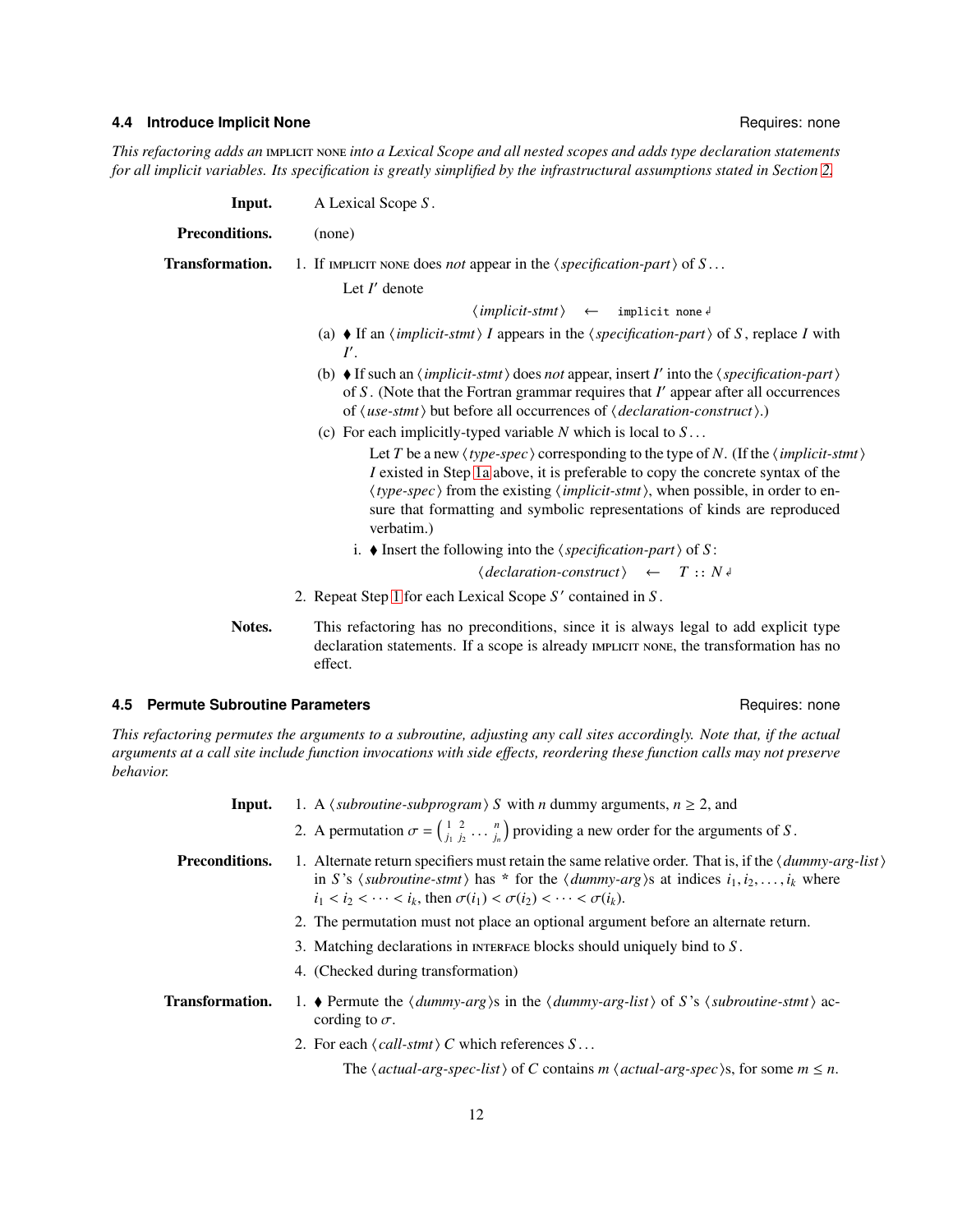### **4.4 Introduce Implicit None** Regulation of the Control of the Requires: none Requires: none

<span id="page-11-1"></span><span id="page-11-0"></span>*This refactoring adds an into a Lexical Scope and all nested scopes and adds type declaration statements for all implicit variables. Its specification is greatly simplified by the infrastructural assumptions stated in Section [2.](#page-3-0)*

| Input.          | A Lexical Scope S.                                                                                                                                                                                                                                                                                                                                                                                                                               |
|-----------------|--------------------------------------------------------------------------------------------------------------------------------------------------------------------------------------------------------------------------------------------------------------------------------------------------------------------------------------------------------------------------------------------------------------------------------------------------|
| Preconditions.  | (none)                                                                                                                                                                                                                                                                                                                                                                                                                                           |
| Transformation. | 1. If IMPLICIT NONE does <i>not</i> appear in the $\langle specification-part \rangle$ of $S$                                                                                                                                                                                                                                                                                                                                                    |
|                 | Let $I'$ denote                                                                                                                                                                                                                                                                                                                                                                                                                                  |
|                 | $\langle implicit\text{-}stmt\rangle \leftarrow \text{implicit none}$                                                                                                                                                                                                                                                                                                                                                                            |
|                 | (a) $\bullet$ If an $\langle$ <i>implicit-stmt</i> $\rangle$ I appears in the $\langle$ <i>specification-part</i> $\rangle$ of S, replace I with<br>$I^{\prime}$ .                                                                                                                                                                                                                                                                               |
|                 | (b) If such an $\langle implicit\text{-}stmt\rangle$ does not appear, insert I' into the $\langle specification\text{-}part\rangle$<br>of $S$ . (Note that the Fortran grammar requires that $I'$ appear after all occurrences<br>of $\langle$ <i>use-stmt</i> $\rangle$ but before all occurrences of $\langle$ <i>declaration-construct</i> $\rangle$ .)                                                                                       |
|                 | (c) For each implicitly-typed variable $N$ which is local to $S \dots$                                                                                                                                                                                                                                                                                                                                                                           |
|                 | Let T be a new $\langle type\text{-}spec \rangle$ corresponding to the type of N. (If the $\langle implicit\text{-}stmt \rangle$ )<br>I existed in Step 1a above, it is preferable to copy the concrete syntax of the<br>$\langle type\text{-}spec \rangle$ from the existing $\langle implicit\text{-}stmt \rangle$ , when possible, in order to en-<br>sure that formatting and symbolic representations of kinds are reproduced<br>verbatim.) |
|                 | i. ♦ Insert the following into the $\langle specification-part \rangle$ of S:                                                                                                                                                                                                                                                                                                                                                                    |
|                 | $\langle declaration-construct \rangle \leftarrow T :: N \rightarrow$                                                                                                                                                                                                                                                                                                                                                                            |
|                 | 2. Repeat Step 1 for each Lexical Scope S' contained in S.                                                                                                                                                                                                                                                                                                                                                                                       |

Notes. This refactoring has no preconditions, since it is always legal to add explicit type declaration statements. If a scope is already IMPLICIT NONE, the transformation has no effect.

### **4.5 Permute Subroutine Parameters Requires: none** Requires: none

*This refactoring permutes the arguments to a subroutine, adjusting any call sites accordingly. Note that, if the actual arguments at a call site include function invocations with side e*ff*ects, reordering these function calls may not preserve behavior.*

| Input.                 | 1. A $\langle$ <i>subroutine-subprogram</i> $\rangle$ <i>S</i> with <i>n</i> dummy arguments, $n \ge 2$ , and                                                                                                                                                                                                  |
|------------------------|----------------------------------------------------------------------------------------------------------------------------------------------------------------------------------------------------------------------------------------------------------------------------------------------------------------|
|                        | 2. A permutation $\sigma = \begin{pmatrix} 1 & 2 \\ i_1 & i_2 \end{pmatrix} \ldots \begin{pmatrix} n \\ i_n \end{pmatrix}$ providing a new order for the arguments of S.                                                                                                                                       |
| Preconditions.         | 1. Alternate return specifiers must retain the same relative order. That is, if the $\langle dummy-arg-list \rangle$<br>in S's (subroutine-stmt) has * for the (dummy-arg)s at indices $i_1, i_2, \ldots, i_k$ where<br>$i_1 < i_2 < \cdots < i_k$ , then $\sigma(i_1) < \sigma(i_2) < \cdots < \sigma(i_k)$ . |
|                        | 2. The permutation must not place an optional argument before an alternate return.                                                                                                                                                                                                                             |
|                        | 3. Matching declarations in INTERFACE blocks should uniquely bind to $S$ .                                                                                                                                                                                                                                     |
|                        | 4. (Checked during transformation)                                                                                                                                                                                                                                                                             |
| <b>Transformation.</b> | 1. • Permute the $\langle dummy-arg \rangle$ s in the $\langle dummy-arg-list \rangle$ of S's $\langle subroutine\text{-}stmt \rangle$ ac-<br>cording to $\sigma$ .                                                                                                                                            |
|                        | 2. For each $\langle \text{call-stmt} \rangle C$ which references $S \dots$                                                                                                                                                                                                                                    |
|                        | The $\langle actual-arg\text{-}spec\text{-}list \rangle$ of C contains m $\langle actual\text{-}arg\text{-}spec \rangle$ s, for some m $\leq n$ .                                                                                                                                                              |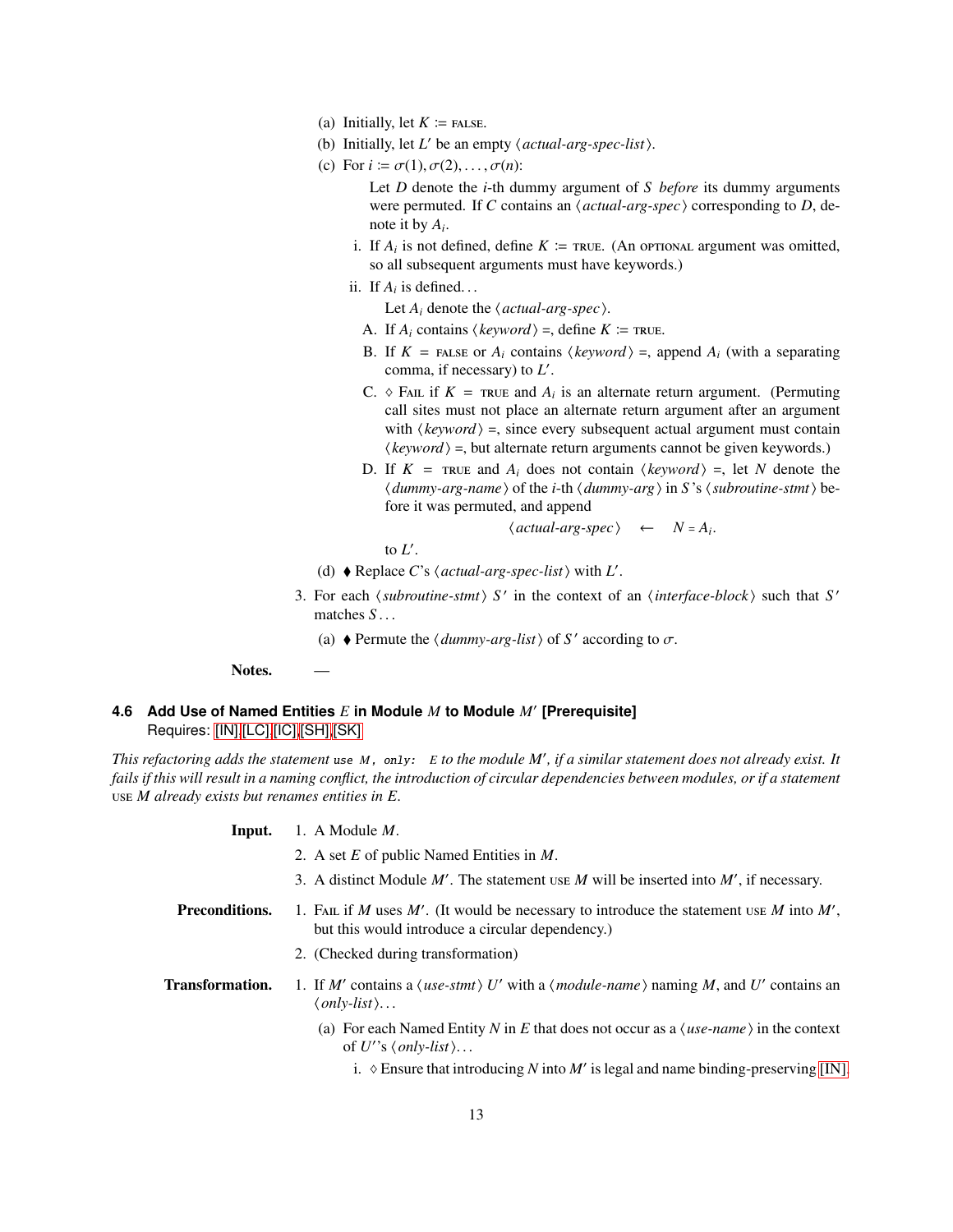- (a) Initially, let  $K \coloneqq$  FALSE.
- (b) Initially, let  $L'$  be an empty  $\langle actual-arg-spec-list \rangle$ .
- (c) For  $i \coloneqq \sigma(1), \sigma(2), \ldots, \sigma(n)$ :

Let *D* denote the *i*-th dummy argument of *S before* its dummy arguments were permuted. If *C* contains an  $\langle actual-arg-spec \rangle$  corresponding to *D*, denote it by *A<sup>i</sup>* .

- i. If  $A_i$  is not defined, define  $K \coloneqq \text{true}$ . (An optional argument was omitted, so all subsequent arguments must have keywords.)
- ii. If  $A_i$  is defined...

Let  $A_i$  denote the  $\langle actual-arg-spec \rangle$ .

- A. If  $A_i$  contains  $\langle keyword \rangle =$ , define  $K \coloneqq \text{true}$ .
- B. If  $K =$  FALSE or  $A_i$  contains  $\langle keyword \rangle =$ , append  $A_i$  (with a separating comma, if necessary) to *L* ′ .
- C.  $\Diamond$  FAIL if  $K = \text{true}$  and  $A_i$  is an alternate return argument. (Permuting call sites must not place an alternate return argument after an argument with  $\langle$ *keyword* $\rangle$  =, since every subsequent actual argument must contain  $\langle keyword \rangle$  =, but alternate return arguments cannot be given keywords.)
- D. If  $K = \text{true}$  and  $A_i$  does not contain  $\langle keyword \rangle =$ , let *N* denote the *dummy-arg-name*  $\phi$  of the *i*-th  $\langle$  *dummy-arg* $\rangle$  in *S* 's  $\langle$  *subroutine-stmt* $\rangle$  before it was permuted, and append

 $\langle actual-arg-spec\rangle \leftarrow N = A_i.$ 

to  $L'$ .

- (d)  $\blacklozenge$  Replace *C*'s  $\langle actual-arg-spec-list \rangle$  with *L'*.
- 3. For each  $\langle$  *subroutine-stmt* $\rangle$  *S'* in the context of an  $\langle$  *interface-block* $\rangle$  such that *S'* matches *S* . . .
	- (a)  $\blacklozenge$  Permute the  $\langle \text{dummy-arg-list} \rangle$  of *S'* according to  $\sigma$ .

Notes.

# **4.6 Add Use of Named Entities** *E* **in Module** *M* **to Module** *M*′ **[Prerequisite]** Requires: [\[IN\],](#page-6-1)[\[LC\],](#page-4-1)[\[IC\]](#page-5-1)[,\[SH\]](#page-4-0)[,\[SK\]](#page-5-0)

*This refactoring adds the statement* use *<sup>M</sup>*, only: *<sup>E</sup> to the module M*′ *, if a similar statement does not already exist. It fails if this will result in a naming conflict, the introduction of circular dependencies between modules, or if a statement M already exists but renames entities in E.*

| Input.                 | 1. A Module $M$ .                                                                                                                                            |
|------------------------|--------------------------------------------------------------------------------------------------------------------------------------------------------------|
|                        | 2. A set $E$ of public Named Entities in $M$ .                                                                                                               |
|                        | 3. A distinct Module $M'$ . The statement use M will be inserted into $M'$ , if necessary.                                                                   |
| <b>Preconditions.</b>  | 1. FAIL if M uses M'. (It would be necessary to introduce the statement use M into M',<br>but this would introduce a circular dependency.)                   |
|                        | 2. (Checked during transformation)                                                                                                                           |
| <b>Transformation.</b> | 1. If M' contains a $\langle$ use-stmt $\rangle$ U' with a $\langle$ module-name $\rangle$ naming M, and U' contains an<br>$\langle only-list \rangle \dots$ |
|                        | (a) For each Named Entity N in E that does not occur as a $\langle$ <i>use-name</i> $\rangle$ in the context<br>of U''s $\langle only-list \rangle$          |
|                        | i. $\diamond$ Ensure that introducing N into M' is legal and name binding-preserving [IN].                                                                   |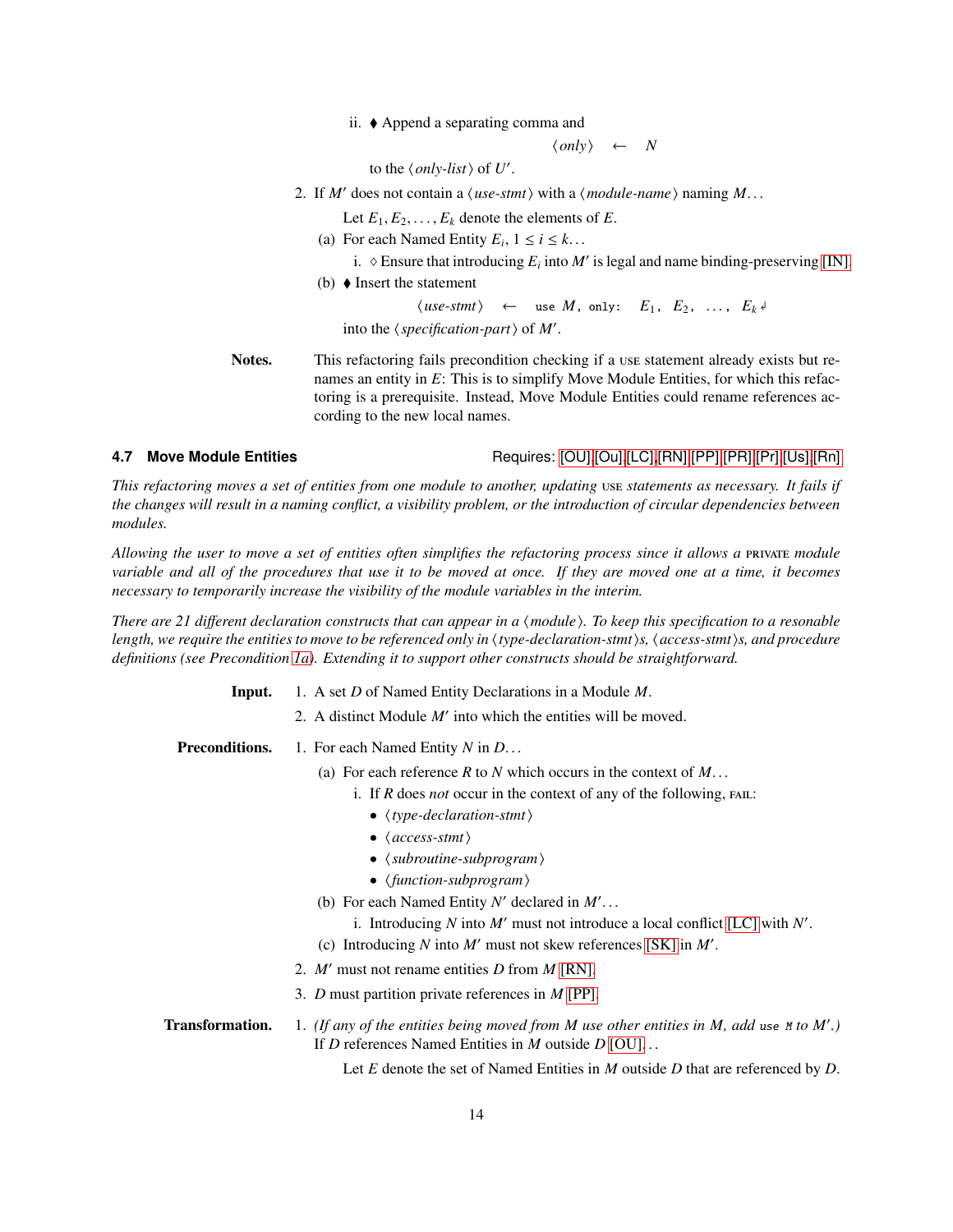ii. Append a separating comma and

 $\langle only \rangle \leftarrow N$ 

to the  $\langle only-list \rangle$  of *U'*.

2. If *M'* does not contain a  $\langle$  *use-stmt* $\rangle$  with a  $\langle$  *module-name* $\rangle$  naming *M*...

Let  $E_1, E_2, \ldots, E_k$  denote the elements of  $E$ .

- (a) For each Named Entity  $E_i$ ,  $1 \le i \le k$ ...
	- i.  $\Diamond$  Ensure that introducing  $E_i$  into  $M'$  is legal and name binding-preserving [\[IN\].](#page-6-1)
- (b)  $\blacklozenge$  Insert the statement

 $\langle$ *use-stmt* $\rangle$  ← use *M*, only: *E*<sub>1</sub>, *E*<sub>2</sub>, ..., *E*<sub>*k*</sub><sup> $d$ </sup>

into the  $\langle specification-part \rangle$  of *M'*.

Notes. This refactoring fails precondition checking if a use statement already exists but renames an entity in *E*: This is to simplify Move Module Entities, for which this refactoring is a prerequisite. Instead, Move Module Entities could rename references according to the new local names.

**4.7 Move Module Entities** Requires: [\[OU\],](#page-7-2)[\[Ou\],](#page-7-1)[\[LC\],](#page-4-1)[\[RN\],](#page-9-0)[\[PP\],](#page-7-0)[\[PR\]](#page-6-0)[,\[Pr\],](#page-8-0)[\[Us\],](#page-8-1)[\[Rn\]](#page-9-1)

*This refactoring moves a set of entities from one module to another, updating* use statements as necessary. It fails if *the changes will result in a naming conflict, a visibility problem, or the introduction of circular dependencies between modules.*

*Allowing the user to move a set of entities often simplifies the refactoring process since it allows a module variable and all of the procedures that use it to be moved at once. If they are moved one at a time, it becomes necessary to temporarily increase the visibility of the module variables in the interim.*

<span id="page-13-0"></span>*There are 21 different declaration constructs that can appear in a*  $\langle$  *module*). To keep this specification to a resonable *length, we require the entities to move to be referenced only in*  $\langle$  *type-declaration-stmt* $\rangle$ *s,*  $\langle$  *access-stmt* $\rangle$ *s, and procedure definitions (see Precondition [1a\)](#page-13-0). Extending it to support other constructs should be straightforward.*

- Input. 1. A set *D* of Named Entity Declarations in a Module *M*.
	- 2. A distinct Module *M*′ into which the entities will be moved.

Preconditions. 1. For each Named Entity *N* in *D*. . .

- (a) For each reference *R* to *N* which occurs in the context of *M*. . .
	- i. If  $R$  does *not* occur in the context of any of the following, FAIL:
		- $\langle type-declaration-stmt \rangle$
		- $\langle access-stmt \rangle$
		- $\langle$ *subroutine-subprogram* $\rangle$
		- $\langle$ function-subprogram $\rangle$
- (b) For each Named Entity  $N'$  declared in  $M'$ ...
	- i. Introducing *N* into *M*′ must not introduce a local conflict [\[LC\]](#page-4-1) with *N* ′ .
- (c) Introducing *N* into *M*′ must not skew references [\[SK\]](#page-5-0) in *M*′ .
- 2. *M*′ must not rename entities *D* from *M* [\[RN\].](#page-9-0)
- 3. *D* must partition private references in *M* [\[PP\].](#page-7-0)
- Transformation. 1. *(If any of the entities being moved from M use other entities in M, add* use <sup>M</sup> *to M*′ *.)* If *D* references Named Entities in *M* outside *D* [\[OU\].](#page-7-2) . .

Let *E* denote the set of Named Entities in *M* outside *D* that are referenced by *D*.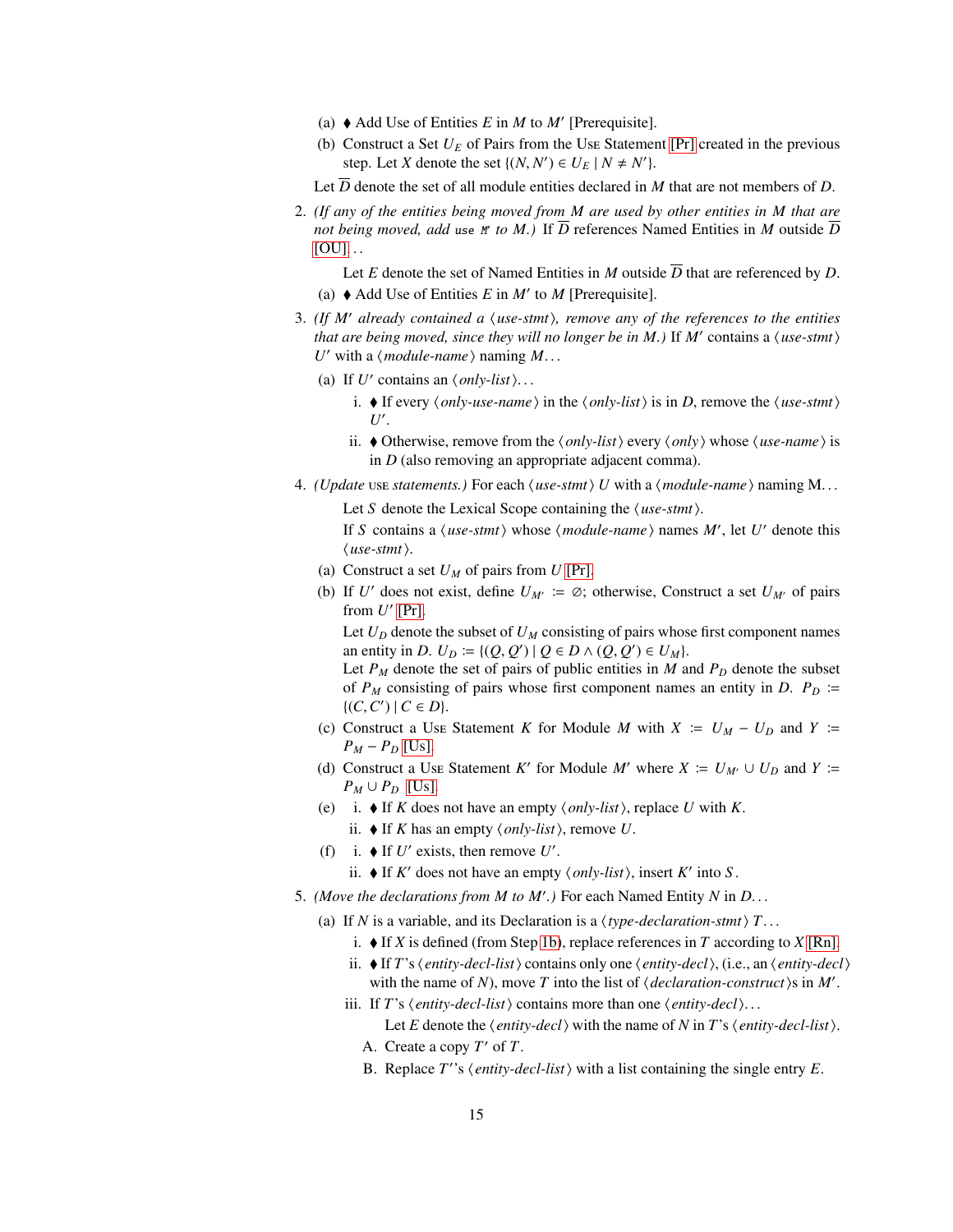- (a)  $\blacklozenge$  Add Use of Entities *E* in *M* to *M'* [Prerequisite].
- (b) Construct a Set  $U_E$  of Pairs from the Use Statement [\[Pr\]](#page-8-0) created in the previous step. Let *X* denote the set  $\{(N, N') \in U_E \mid N \neq N'\}.$

Let  $\overline{D}$  denote the set of all module entities declared in *M* that are not members of *D*.

<span id="page-14-0"></span>2. *(If any of the entities being moved from M are used by other entities in M that are* not being moved, add use  $M'$  to  $M$ .) If *D* references Named Entities in *M* outside *D*  $[OU]$ ...

Let *E* denote the set of Named Entities in *M* outside  $\overline{D}$  that are referenced by *D*. (a)  $\blacklozenge$  Add Use of Entities *E* in *M'* to *M* [Prerequisite].

- 3. *(If M*′ *already contained a* h*use-stmt*i*, remove any of the references to the entities that are being moved, since they will no longer be in M.)* If  $M'$  contains a  $\langle$ *use-stmt* $\rangle$ *U*' with a  $\langle$  *module-name*  $\rangle$  naming *M*...
	- (a) If  $U'$  contains an  $\langle only-list \rangle$ ...
		- i.  $\blacklozenge$  If every  $\langle only\text{-}use\text{-}name\rangle$  in the  $\langle only\text{-}list\rangle$  is in *D*, remove the  $\langle use\text{-}stmt\rangle$ *U* ′ .
		- ii.  $\blacklozenge$  Otherwise, remove from the  $\langle only-list \rangle$  every  $\langle only \rangle$  whose  $\langle use\text{-}name \rangle$  is in *D* (also removing an appropriate adjacent comma).
- 4. *(Update use statements.)* For each  $\langle$ *use-stmt* $\rangle$ *U* with a  $\langle$ *module-name* $\rangle$  naming M...
	- Let S denote the Lexical Scope containing the  $\langle$ *use-stmt* $\rangle$ . If *S* contains a  $\langle$ *use-stmt* $\rangle$  whose  $\langle$ *module-name* $\rangle$  names *M'*, let *U'* denote this  $\langle$ *use-stmt* $\rangle$ .
	- (a) Construct a set  $U_M$  of pairs from  $U$  [\[Pr\].](#page-8-0)
	- (b) If *U'* does not exist, define  $U_{M'} \coloneqq \emptyset$ ; otherwise, Construct a set  $U_{M'}$  of pairs from  $U'$  [\[Pr\].](#page-8-0)

Let  $U_D$  denote the subset of  $U_M$  consisting of pairs whose first component names an entity in *D*.  $U_D \coloneqq \{ (Q, Q') \mid Q \in D \land (Q, Q') \in U_M \}.$ 

Let  $P_M$  denote the set of pairs of public entities in *M* and  $P_D$  denote the subset of  $P_M$  consisting of pairs whose first component names an entity in *D*.  $P_D \cong$  $\{(C, C') | C \in D\}.$ 

- (c) Construct a Use Statement *K* for Module *M* with  $X = U_M U_D$  and  $Y =$ *P<sub>M</sub>* − *P<sub>D</sub>* [\[Us\].](#page-8-1)
- (d) Construct a Use Statement *K'* for Module *M'* where  $X := U_{M'} \cup U_D$  and  $Y :=$  $P_M \cup P_D$  [\[Us\].](#page-8-1)
- (e) i.  $\blacklozenge$  If *K* does not have an empty  $\langle only-list \rangle$ , replace *U* with *K*.
	- ii.  $\blacklozenge$  If *K* has an empty  $\langle only-list \rangle$ , remove *U*.
- (f) i.  $\blacklozenge$  If *U'* exists, then remove *U'*.
	- ii.  $\blacklozenge$  If *K'* does not have an empty  $\langle only-list \rangle$ , insert *K'* into *S*.
- <span id="page-14-1"></span>5. *(Move the declarations from M to M*′ *.)* For each Named Entity *N* in *D*. . .
	- (a) If *N* is a variable, and its Declaration is a  $\langle type-declaration-stmt \rangle T$ ...
		- i.  $\blacklozenge$  If *X* is defined (from Step [1b\)](#page-14-0), replace references in *T* according to *X* [\[Rn\].](#page-9-1)
		- ii.  $\blacklozenge$  If *T*'s  $\langle$  *entity-decl-list* $\rangle$  contains only one  $\langle$  *entity-decl* $\rangle$ , (i.e., an  $\langle$  *entity-decl* $\rangle$ with the name of *N*), move *T* into the list of  $\langle declaration-construct \rangle$ s in *M'*.
		- iii. If *T*'s  $\langle$ *entity-decl-list* $\rangle$  contains more than one  $\langle$ *entity-decl* $\rangle$ ... Let *E* denote the  $\langle$ *entity-decl* $\rangle$  with the name of *N* in *T*'s  $\langle$ *entity-decl-list* $\rangle$ .
			- A. Create a copy *T* ′ of *T*.
			- B. Replace  $T$ <sup>'</sup>'s  $\langle$ *entity-decl-list* $\rangle$  with a list containing the single entry  $E$ .